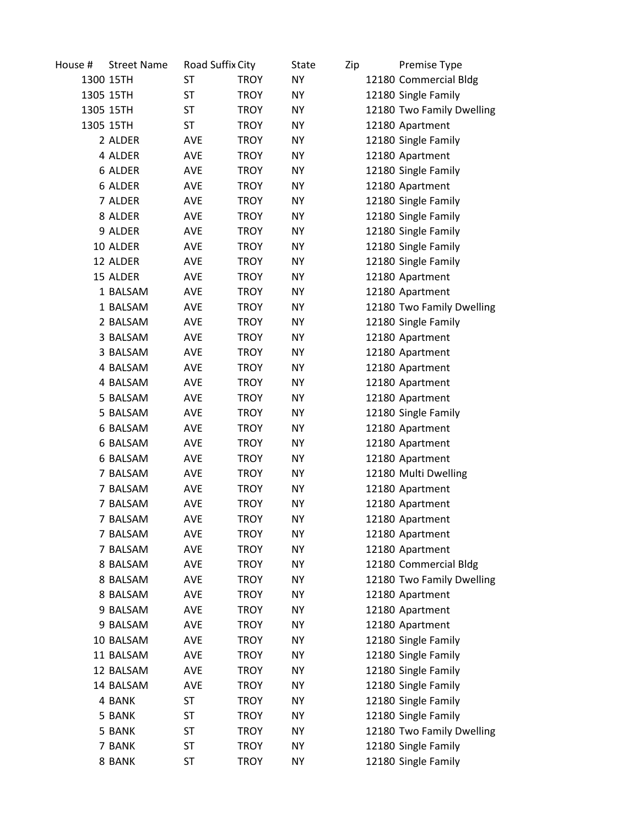| House # | <b>Street Name</b> | Road Suffix City |             | State     | Zip | Premise Type              |
|---------|--------------------|------------------|-------------|-----------|-----|---------------------------|
|         | 1300 15TH          | <b>ST</b>        | <b>TROY</b> | <b>NY</b> |     | 12180 Commercial Bldg     |
|         | 1305 15TH          | ST               | <b>TROY</b> | <b>NY</b> |     | 12180 Single Family       |
|         | 1305 15TH          | ST               | <b>TROY</b> | <b>NY</b> |     | 12180 Two Family Dwelling |
|         | 1305 15TH          | ST               | <b>TROY</b> | <b>NY</b> |     | 12180 Apartment           |
|         | 2 ALDER            | AVE              | <b>TROY</b> | <b>NY</b> |     | 12180 Single Family       |
|         | 4 ALDER            | AVE              | <b>TROY</b> | <b>NY</b> |     | 12180 Apartment           |
|         | 6 ALDER            | AVE              | <b>TROY</b> | NY        |     | 12180 Single Family       |
|         | 6 ALDER            | <b>AVE</b>       | <b>TROY</b> | <b>NY</b> |     | 12180 Apartment           |
|         | 7 ALDER            | AVE              | <b>TROY</b> | <b>NY</b> |     | 12180 Single Family       |
|         | 8 ALDER            | AVE              | <b>TROY</b> | <b>NY</b> |     | 12180 Single Family       |
|         | 9 ALDER            | <b>AVE</b>       | <b>TROY</b> | NY        |     | 12180 Single Family       |
|         | 10 ALDER           | AVE              | <b>TROY</b> | ΝY        |     | 12180 Single Family       |
|         | 12 ALDER           | <b>AVE</b>       | <b>TROY</b> | <b>NY</b> |     | 12180 Single Family       |
|         | 15 ALDER           | AVE              | <b>TROY</b> | <b>NY</b> |     | 12180 Apartment           |
|         | 1 BALSAM           | <b>AVE</b>       | <b>TROY</b> | <b>NY</b> |     | 12180 Apartment           |
|         | 1 BALSAM           | AVE              | <b>TROY</b> | NY        |     | 12180 Two Family Dwelling |
|         | 2 BALSAM           | AVE              | <b>TROY</b> | <b>NY</b> |     | 12180 Single Family       |
|         | 3 BALSAM           | <b>AVE</b>       | <b>TROY</b> | <b>NY</b> |     | 12180 Apartment           |
|         | 3 BALSAM           | AVE              | <b>TROY</b> | NY        |     | 12180 Apartment           |
|         | 4 BALSAM           | AVE              | <b>TROY</b> | NY        |     | 12180 Apartment           |
|         | 4 BALSAM           | AVE              | <b>TROY</b> | <b>NY</b> |     | 12180 Apartment           |
|         | 5 BALSAM           | AVE              | <b>TROY</b> | <b>NY</b> |     | 12180 Apartment           |
|         | 5 BALSAM           | AVE              | <b>TROY</b> | <b>NY</b> |     | 12180 Single Family       |
|         | 6 BALSAM           | AVE              | <b>TROY</b> | NY        |     | 12180 Apartment           |
|         | 6 BALSAM           | AVE              | <b>TROY</b> | <b>NY</b> |     | 12180 Apartment           |
|         | 6 BALSAM           | AVE              | <b>TROY</b> | <b>NY</b> |     | 12180 Apartment           |
|         | 7 BALSAM           | AVE              | <b>TROY</b> | <b>NY</b> |     | 12180 Multi Dwelling      |
|         | 7 BALSAM           | AVE              | <b>TROY</b> | <b>NY</b> |     | 12180 Apartment           |
|         | 7 BALSAM           | AVE              | <b>TROY</b> | NY.       |     | 12180 Apartment           |
|         | 7 BALSAM           | AVE              | <b>TROY</b> | <b>NY</b> |     | 12180 Apartment           |
|         | 7 BALSAM           | AVE              | <b>TROY</b> | <b>NY</b> |     | 12180 Apartment           |
|         | 7 BALSAM           | AVE              | <b>TROY</b> | NY        |     | 12180 Apartment           |
|         | 8 BALSAM           | AVE              | <b>TROY</b> | <b>NY</b> |     | 12180 Commercial Bldg     |
|         | 8 BALSAM           | AVE              | <b>TROY</b> | <b>NY</b> |     | 12180 Two Family Dwelling |
|         | 8 BALSAM           | AVE              | <b>TROY</b> | <b>NY</b> |     | 12180 Apartment           |
|         | 9 BALSAM           | AVE              | <b>TROY</b> | <b>NY</b> |     | 12180 Apartment           |
|         | 9 BALSAM           | AVE              | <b>TROY</b> | <b>NY</b> |     | 12180 Apartment           |
|         | 10 BALSAM          | AVE              | <b>TROY</b> | ΝY        |     | 12180 Single Family       |
|         | 11 BALSAM          | AVE              | <b>TROY</b> | <b>NY</b> |     | 12180 Single Family       |
|         | 12 BALSAM          | AVE              | <b>TROY</b> | <b>NY</b> |     | 12180 Single Family       |
|         | 14 BALSAM          | AVE              | <b>TROY</b> | <b>NY</b> |     | 12180 Single Family       |
|         | 4 BANK             | ST               | <b>TROY</b> | <b>NY</b> |     | 12180 Single Family       |
|         | 5 BANK             | ST               | <b>TROY</b> | <b>NY</b> |     | 12180 Single Family       |
|         | 5 BANK             | ST               | <b>TROY</b> | <b>NY</b> |     | 12180 Two Family Dwelling |
|         | 7 BANK             | ST               | <b>TROY</b> | NY        |     | 12180 Single Family       |
|         | 8 BANK             | ST               | <b>TROY</b> | <b>NY</b> |     | 12180 Single Family       |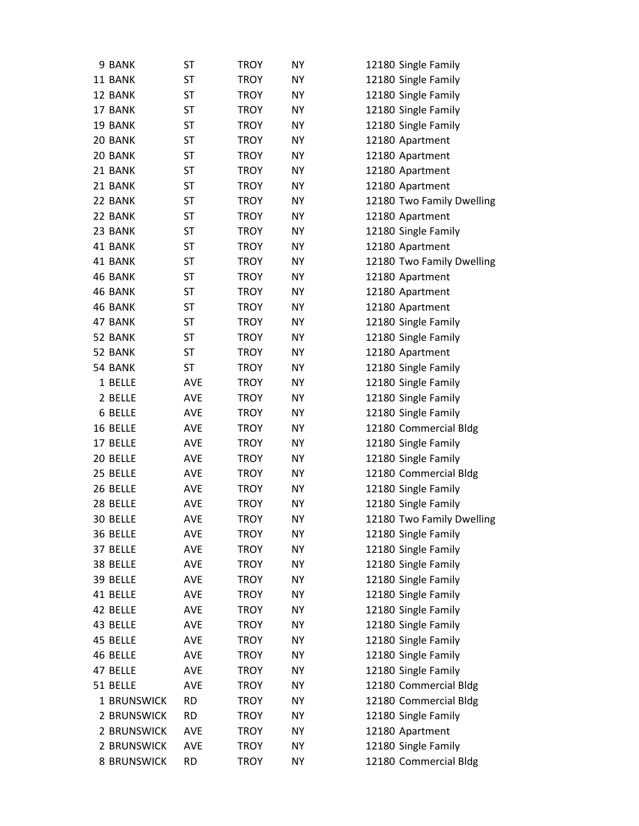| 9 BANK             | <b>ST</b>  | <b>TROY</b> | <b>NY</b> | 12180 Single Family       |
|--------------------|------------|-------------|-----------|---------------------------|
| 11 BANK            | ST         | <b>TROY</b> | NY        | 12180 Single Family       |
| 12 BANK            | <b>ST</b>  | <b>TROY</b> | <b>NY</b> | 12180 Single Family       |
| 17 BANK            | <b>ST</b>  | <b>TROY</b> | <b>NY</b> | 12180 Single Family       |
| 19 BANK            | <b>ST</b>  | <b>TROY</b> | <b>NY</b> | 12180 Single Family       |
| 20 BANK            | <b>ST</b>  | <b>TROY</b> | <b>NY</b> | 12180 Apartment           |
| 20 BANK            | ST         | <b>TROY</b> | <b>NY</b> | 12180 Apartment           |
| 21 BANK            | ST         | <b>TROY</b> | <b>NY</b> | 12180 Apartment           |
| 21 BANK            | <b>ST</b>  | <b>TROY</b> | <b>NY</b> | 12180 Apartment           |
| 22 BANK            | <b>ST</b>  | TROY        | NY        | 12180 Two Family Dwelling |
| 22 BANK            | ST         | <b>TROY</b> | <b>NY</b> | 12180 Apartment           |
| 23 BANK            | ST         | <b>TROY</b> | NY        | 12180 Single Family       |
| 41 BANK            | <b>ST</b>  | <b>TROY</b> | NY        | 12180 Apartment           |
| 41 BANK            | <b>ST</b>  | <b>TROY</b> | <b>NY</b> | 12180 Two Family Dwelling |
| 46 BANK            | <b>ST</b>  | TROY        | <b>NY</b> | 12180 Apartment           |
| 46 BANK            | <b>ST</b>  | <b>TROY</b> | <b>NY</b> | 12180 Apartment           |
| 46 BANK            | ST         | <b>TROY</b> | NY        | 12180 Apartment           |
| 47 BANK            | <b>ST</b>  | <b>TROY</b> | <b>NY</b> | 12180 Single Family       |
| 52 BANK            | <b>ST</b>  | <b>TROY</b> | <b>NY</b> | 12180 Single Family       |
| 52 BANK            | ST         | <b>TROY</b> | <b>NY</b> | 12180 Apartment           |
| 54 BANK            | <b>ST</b>  | <b>TROY</b> | NΥ        | 12180 Single Family       |
| 1 BELLE            | AVE        | <b>TROY</b> | <b>NY</b> | 12180 Single Family       |
| 2 BELLE            | <b>AVE</b> | <b>TROY</b> | <b>NY</b> | 12180 Single Family       |
| 6 BELLE            | <b>AVE</b> | <b>TROY</b> | NY        | 12180 Single Family       |
| 16 BELLE           | AVE        | <b>TROY</b> | <b>NY</b> | 12180 Commercial Bldg     |
| 17 BELLE           | <b>AVE</b> | <b>TROY</b> | NY        | 12180 Single Family       |
| 20 BELLE           | AVE        | <b>TROY</b> | <b>NY</b> | 12180 Single Family       |
| 25 BELLE           | AVE        | <b>TROY</b> | NY        | 12180 Commercial Bldg     |
| 26 BELLE           | AVE        | <b>TROY</b> | NY        | 12180 Single Family       |
| 28 BELLE           | AVE        | <b>TROY</b> | <b>NY</b> | 12180 Single Family       |
| 30 BELLE           | AVE        | <b>TROY</b> | <b>NY</b> | 12180 Two Family Dwelling |
| 36 BELLE           | AVE        | <b>TROY</b> | ΝY        | 12180 Single Family       |
| 37 BELLE           | AVE        | <b>TROY</b> | NY        | 12180 Single Family       |
| 38 BELLE           | AVE        | <b>TROY</b> | ΝY        | 12180 Single Family       |
| 39 BELLE           | AVE        | <b>TROY</b> | NY        | 12180 Single Family       |
| 41 BELLE           | <b>AVE</b> | <b>TROY</b> | NY        | 12180 Single Family       |
| 42 BELLE           | <b>AVE</b> | <b>TROY</b> | <b>NY</b> | 12180 Single Family       |
| 43 BELLE           | <b>AVE</b> | <b>TROY</b> | NY        | 12180 Single Family       |
| 45 BELLE           | AVE        | <b>TROY</b> | ΝY        | 12180 Single Family       |
| 46 BELLE           | AVE        | <b>TROY</b> | NY        | 12180 Single Family       |
| 47 BELLE           | AVE        | <b>TROY</b> | ΝY        | 12180 Single Family       |
| 51 BELLE           | AVE        | <b>TROY</b> | <b>NY</b> | 12180 Commercial Bldg     |
| 1 BRUNSWICK        | <b>RD</b>  | <b>TROY</b> | NY        | 12180 Commercial Bldg     |
| 2 BRUNSWICK        | <b>RD</b>  | <b>TROY</b> | NY        | 12180 Single Family       |
| 2 BRUNSWICK        | AVE        | <b>TROY</b> | NY        | 12180 Apartment           |
| 2 BRUNSWICK        | <b>AVE</b> | <b>TROY</b> | ΝY        | 12180 Single Family       |
| <b>8 BRUNSWICK</b> | <b>RD</b>  | <b>TROY</b> | NY        | 12180 Commercial Bldg     |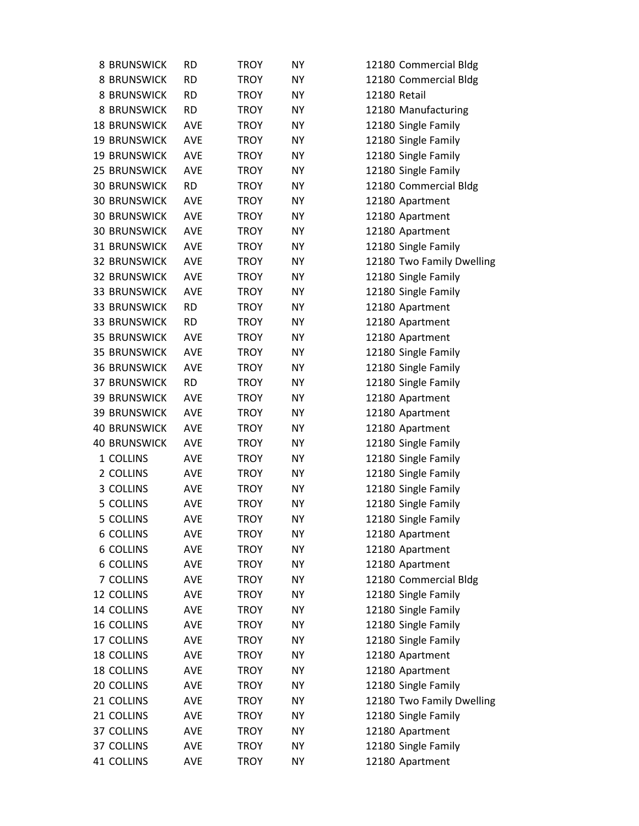| <b>8 BRUNSWICK</b>  | <b>RD</b>  | <b>TROY</b> | ΝY        | 12180 Commercial Bldg     |
|---------------------|------------|-------------|-----------|---------------------------|
| <b>8 BRUNSWICK</b>  | <b>RD</b>  | <b>TROY</b> | <b>NY</b> | 12180 Commercial Bldg     |
| <b>8 BRUNSWICK</b>  | <b>RD</b>  | <b>TROY</b> | ΝY        | 12180 Retail              |
| <b>8 BRUNSWICK</b>  | <b>RD</b>  | <b>TROY</b> | <b>NY</b> | 12180 Manufacturing       |
| <b>18 BRUNSWICK</b> | AVE        | TROY        | <b>NY</b> | 12180 Single Family       |
| <b>19 BRUNSWICK</b> | AVE        | TROY        | <b>NY</b> | 12180 Single Family       |
| <b>19 BRUNSWICK</b> | AVE        | <b>TROY</b> | ΝY        | 12180 Single Family       |
| 25 BRUNSWICK        | AVE        | <b>TROY</b> | <b>NY</b> | 12180 Single Family       |
| <b>30 BRUNSWICK</b> | <b>RD</b>  | <b>TROY</b> | <b>NY</b> | 12180 Commercial Bldg     |
| <b>30 BRUNSWICK</b> | AVE        | TROY        | ΝY        | 12180 Apartment           |
| <b>30 BRUNSWICK</b> | <b>AVE</b> | TROY        | <b>NY</b> | 12180 Apartment           |
| <b>30 BRUNSWICK</b> | AVE        | TROY        | <b>NY</b> | 12180 Apartment           |
| <b>31 BRUNSWICK</b> | AVE        | <b>TROY</b> | NΥ        | 12180 Single Family       |
| <b>32 BRUNSWICK</b> | <b>AVE</b> | <b>TROY</b> | NY        | 12180 Two Family Dwelling |
| <b>32 BRUNSWICK</b> | <b>AVE</b> | <b>TROY</b> | <b>NY</b> | 12180 Single Family       |
| <b>33 BRUNSWICK</b> | <b>AVE</b> | <b>TROY</b> | <b>NY</b> | 12180 Single Family       |
| <b>33 BRUNSWICK</b> | <b>RD</b>  | TROY        | ΝY        | 12180 Apartment           |
| <b>33 BRUNSWICK</b> | <b>RD</b>  | <b>TROY</b> | NY        | 12180 Apartment           |
| <b>35 BRUNSWICK</b> | AVE        | <b>TROY</b> | NΥ        | 12180 Apartment           |
| <b>35 BRUNSWICK</b> | <b>AVE</b> | <b>TROY</b> | NΥ        | 12180 Single Family       |
| <b>36 BRUNSWICK</b> | AVE        | <b>TROY</b> | <b>NY</b> | 12180 Single Family       |
| <b>37 BRUNSWICK</b> | <b>RD</b>  | <b>TROY</b> | ΝY        | 12180 Single Family       |
| <b>39 BRUNSWICK</b> | AVE        | <b>TROY</b> | <b>NY</b> | 12180 Apartment           |
| <b>39 BRUNSWICK</b> | AVE        | TROY        | NΥ        | 12180 Apartment           |
| <b>40 BRUNSWICK</b> | AVE        | TROY        | NΥ        | 12180 Apartment           |
| <b>40 BRUNSWICK</b> | AVE        | <b>TROY</b> | ΝY        | 12180 Single Family       |
| 1 COLLINS           | AVE        | TROY        | <b>NY</b> | 12180 Single Family       |
| 2 COLLINS           | AVE        | TROY        | ΝY        | 12180 Single Family       |
| 3 COLLINS           | AVE        | <b>TROY</b> | ΝY        | 12180 Single Family       |
| 5 COLLINS           | AVE        | <b>TROY</b> | ΝY        | 12180 Single Family       |
| 5 COLLINS           | AVE        | <b>TROY</b> | NΥ        | 12180 Single Family       |
| <b>6 COLLINS</b>    | AVE        | <b>TROY</b> | NΥ        | 12180 Apartment           |
| <b>6 COLLINS</b>    | AVE        | <b>TROY</b> | NΥ        | 12180 Apartment           |
| <b>6 COLLINS</b>    | AVE        | <b>TROY</b> | NY        | 12180 Apartment           |
| 7 COLLINS           | AVE        | <b>TROY</b> | NY        | 12180 Commercial Bldg     |
| 12 COLLINS          | AVE        | TROY        | ΝY        | 12180 Single Family       |
| 14 COLLINS          | AVE        | <b>TROY</b> | NY        | 12180 Single Family       |
| <b>16 COLLINS</b>   | AVE        | <b>TROY</b> | NY        | 12180 Single Family       |
| 17 COLLINS          | AVE        | TROY        | NY        | 12180 Single Family       |
| 18 COLLINS          | AVE        | <b>TROY</b> | NY        | 12180 Apartment           |
| <b>18 COLLINS</b>   | AVE        | <b>TROY</b> | ΝY        | 12180 Apartment           |
| 20 COLLINS          | <b>AVE</b> | <b>TROY</b> | NY        | 12180 Single Family       |
| 21 COLLINS          | AVE        | <b>TROY</b> | ΝY        | 12180 Two Family Dwelling |
| 21 COLLINS          | AVE        | <b>TROY</b> | NY        | 12180 Single Family       |
| 37 COLLINS          | AVE        | <b>TROY</b> | NΥ        | 12180 Apartment           |
| 37 COLLINS          | AVE        | <b>TROY</b> | NΥ        | 12180 Single Family       |
| 41 COLLINS          | AVE        | <b>TROY</b> | NΥ        | 12180 Apartment           |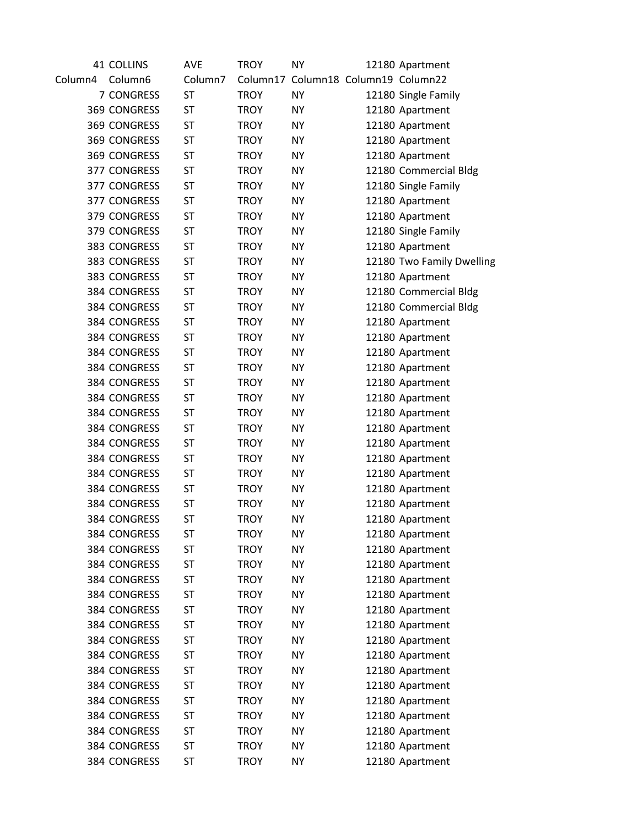|         | 41 COLLINS   | <b>AVE</b> | <b>TROY</b> | <b>NY</b>                  | 12180 Apartment           |
|---------|--------------|------------|-------------|----------------------------|---------------------------|
| Column4 | Column6      | Column7    | Column17    | Column18 Column19 Column22 |                           |
|         | 7 CONGRESS   | <b>ST</b>  | <b>TROY</b> | <b>NY</b>                  | 12180 Single Family       |
|         | 369 CONGRESS | ST         | <b>TROY</b> | <b>NY</b>                  | 12180 Apartment           |
|         | 369 CONGRESS | <b>ST</b>  | <b>TROY</b> | <b>NY</b>                  | 12180 Apartment           |
|         | 369 CONGRESS | <b>ST</b>  | <b>TROY</b> | <b>NY</b>                  | 12180 Apartment           |
|         | 369 CONGRESS | <b>ST</b>  | <b>TROY</b> | <b>NY</b>                  | 12180 Apartment           |
|         | 377 CONGRESS | <b>ST</b>  | <b>TROY</b> | <b>NY</b>                  | 12180 Commercial Bldg     |
|         | 377 CONGRESS | <b>ST</b>  | <b>TROY</b> | <b>NY</b>                  | 12180 Single Family       |
|         | 377 CONGRESS | ST         | <b>TROY</b> | <b>NY</b>                  | 12180 Apartment           |
|         | 379 CONGRESS | <b>ST</b>  | <b>TROY</b> | <b>NY</b>                  | 12180 Apartment           |
|         | 379 CONGRESS | <b>ST</b>  | <b>TROY</b> | <b>NY</b>                  | 12180 Single Family       |
|         | 383 CONGRESS | ST         | <b>TROY</b> | <b>NY</b>                  | 12180 Apartment           |
|         | 383 CONGRESS | <b>ST</b>  | <b>TROY</b> | <b>NY</b>                  | 12180 Two Family Dwelling |
|         | 383 CONGRESS | <b>ST</b>  | <b>TROY</b> | <b>NY</b>                  | 12180 Apartment           |
|         | 384 CONGRESS | ST         | <b>TROY</b> | <b>NY</b>                  | 12180 Commercial Bldg     |
|         | 384 CONGRESS | <b>ST</b>  | <b>TROY</b> | <b>NY</b>                  | 12180 Commercial Bldg     |
|         | 384 CONGRESS | <b>ST</b>  | <b>TROY</b> | <b>NY</b>                  | 12180 Apartment           |
|         | 384 CONGRESS | <b>ST</b>  | <b>TROY</b> | <b>NY</b>                  | 12180 Apartment           |
|         | 384 CONGRESS | <b>ST</b>  | <b>TROY</b> | <b>NY</b>                  | 12180 Apartment           |
|         | 384 CONGRESS | ST         | <b>TROY</b> | <b>NY</b>                  | 12180 Apartment           |
|         | 384 CONGRESS | ST         | <b>TROY</b> | <b>NY</b>                  | 12180 Apartment           |
|         | 384 CONGRESS | <b>ST</b>  | <b>TROY</b> | <b>NY</b>                  | 12180 Apartment           |
|         | 384 CONGRESS | <b>ST</b>  | <b>TROY</b> | <b>NY</b>                  | 12180 Apartment           |
|         | 384 CONGRESS | <b>ST</b>  | <b>TROY</b> | NY.                        | 12180 Apartment           |
|         | 384 CONGRESS | <b>ST</b>  | <b>TROY</b> | <b>NY</b>                  | 12180 Apartment           |
|         | 384 CONGRESS | <b>ST</b>  | <b>TROY</b> | <b>NY</b>                  | 12180 Apartment           |
|         | 384 CONGRESS | ST         | <b>TROY</b> | <b>NY</b>                  | 12180 Apartment           |
|         | 384 CONGRESS | ST         | <b>TROY</b> | <b>NY</b>                  | 12180 Apartment           |
|         | 384 CONGRESS | <b>ST</b>  | <b>TROY</b> | <b>NY</b>                  | 12180 Apartment           |
|         | 384 CONGRESS | <b>ST</b>  | <b>TROY</b> | <b>NY</b>                  | 12180 Apartment           |
|         | 384 CONGRESS | ST         | <b>TROY</b> | NY                         | 12180 Apartment           |
|         | 384 CONGRESS | ST         | <b>TROY</b> | <b>NY</b>                  | 12180 Apartment           |
|         | 384 CONGRESS | ST         | <b>TROY</b> | <b>NY</b>                  | 12180 Apartment           |
|         | 384 CONGRESS | ST         | <b>TROY</b> | <b>NY</b>                  | 12180 Apartment           |
|         | 384 CONGRESS | ST         | <b>TROY</b> | <b>NY</b>                  | 12180 Apartment           |
|         | 384 CONGRESS | <b>ST</b>  | <b>TROY</b> | <b>NY</b>                  | 12180 Apartment           |
|         | 384 CONGRESS | <b>ST</b>  | <b>TROY</b> | <b>NY</b>                  | 12180 Apartment           |
|         | 384 CONGRESS | ST         | <b>TROY</b> | <b>NY</b>                  | 12180 Apartment           |
|         | 384 CONGRESS | <b>ST</b>  | <b>TROY</b> | <b>NY</b>                  | 12180 Apartment           |
|         | 384 CONGRESS | ST         | <b>TROY</b> | <b>NY</b>                  | 12180 Apartment           |
|         | 384 CONGRESS | <b>ST</b>  | <b>TROY</b> | <b>NY</b>                  | 12180 Apartment           |
|         | 384 CONGRESS | <b>ST</b>  | <b>TROY</b> | <b>NY</b>                  | 12180 Apartment           |
|         | 384 CONGRESS | ST         | <b>TROY</b> | <b>NY</b>                  | 12180 Apartment           |
|         | 384 CONGRESS | <b>ST</b>  | <b>TROY</b> | <b>NY</b>                  | 12180 Apartment           |
|         | 384 CONGRESS | ST         | <b>TROY</b> | ΝY                         | 12180 Apartment           |
|         | 384 CONGRESS | ST         | <b>TROY</b> | <b>NY</b>                  | 12180 Apartment           |
|         |              |            |             |                            |                           |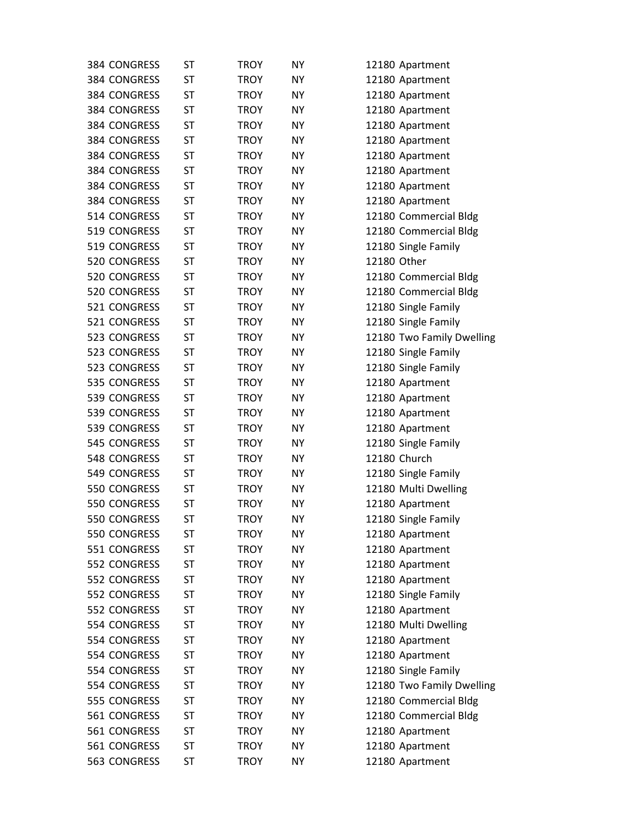| <b>384 CONGRESS</b> | ST        | <b>TROY</b> | ΝY        | 12180 Apartment           |
|---------------------|-----------|-------------|-----------|---------------------------|
| 384 CONGRESS        | <b>ST</b> | <b>TROY</b> | <b>NY</b> | 12180 Apartment           |
| 384 CONGRESS        | ST        | TROY        | <b>NY</b> | 12180 Apartment           |
| 384 CONGRESS        | ST        | <b>TROY</b> | <b>NY</b> | 12180 Apartment           |
| 384 CONGRESS        | ST        | <b>TROY</b> | <b>NY</b> | 12180 Apartment           |
| 384 CONGRESS        | ST        | TROY        | NY.       | 12180 Apartment           |
| 384 CONGRESS        | ST        | <b>TROY</b> | <b>NY</b> | 12180 Apartment           |
| 384 CONGRESS        | ST        | <b>TROY</b> | NY.       | 12180 Apartment           |
| 384 CONGRESS        | <b>ST</b> | <b>TROY</b> | <b>NY</b> | 12180 Apartment           |
| 384 CONGRESS        | ST        | <b>TROY</b> | <b>NY</b> | 12180 Apartment           |
| 514 CONGRESS        | ST        | <b>TROY</b> | <b>NY</b> | 12180 Commercial Bldg     |
| 519 CONGRESS        | ST        | <b>TROY</b> | <b>NY</b> | 12180 Commercial Bldg     |
| 519 CONGRESS        | ST        | <b>TROY</b> | NY.       | 12180 Single Family       |
| 520 CONGRESS        | <b>ST</b> | <b>TROY</b> | <b>NY</b> | 12180 Other               |
| 520 CONGRESS        | <b>ST</b> | <b>TROY</b> | <b>NY</b> | 12180 Commercial Bldg     |
| 520 CONGRESS        | ST        | <b>TROY</b> | <b>NY</b> | 12180 Commercial Bldg     |
| 521 CONGRESS        | ST        | <b>TROY</b> | <b>NY</b> | 12180 Single Family       |
| 521 CONGRESS        | ST        | <b>TROY</b> | ΝY        | 12180 Single Family       |
| 523 CONGRESS        | <b>ST</b> | <b>TROY</b> | <b>NY</b> | 12180 Two Family Dwelling |
| 523 CONGRESS        | ST        | <b>TROY</b> | NY.       | 12180 Single Family       |
| 523 CONGRESS        | ST        | <b>TROY</b> | <b>NY</b> | 12180 Single Family       |
| 535 CONGRESS        | ST        | TROY        | <b>NY</b> | 12180 Apartment           |
| 539 CONGRESS        | ST        | <b>TROY</b> | <b>NY</b> | 12180 Apartment           |
| 539 CONGRESS        | <b>ST</b> | <b>TROY</b> | <b>NY</b> | 12180 Apartment           |
| 539 CONGRESS        | ST        | TROY        | NY.       | 12180 Apartment           |
| 545 CONGRESS        | ST        | <b>TROY</b> | <b>NY</b> | 12180 Single Family       |
| 548 CONGRESS        | ST        | <b>TROY</b> | NY.       | 12180 Church              |
| 549 CONGRESS        | ST        | <b>TROY</b> | NY        | 12180 Single Family       |
| 550 CONGRESS        | ST        | <b>TROY</b> | <b>NY</b> | 12180 Multi Dwelling      |
| 550 CONGRESS        | ST        | <b>TROY</b> | ΝY        | 12180 Apartment           |
| 550 CONGRESS        | <b>ST</b> | <b>TROY</b> | <b>NY</b> | 12180 Single Family       |
| 550 CONGRESS        | ST        | <b>TROY</b> | ΝY        | 12180 Apartment           |
| 551 CONGRESS        | ST        | <b>TROY</b> | ΝY        | 12180 Apartment           |
| 552 CONGRESS        | ST        | <b>TROY</b> | ΝY        | 12180 Apartment           |
| 552 CONGRESS        | ST        | <b>TROY</b> | NY        | 12180 Apartment           |
| 552 CONGRESS        | ST        | <b>TROY</b> | NY        | 12180 Single Family       |
| 552 CONGRESS        | ST        | <b>TROY</b> | ΝY        | 12180 Apartment           |
| 554 CONGRESS        | ST        | <b>TROY</b> | <b>NY</b> | 12180 Multi Dwelling      |
| 554 CONGRESS        | ST        | <b>TROY</b> | ΝY        | 12180 Apartment           |
| 554 CONGRESS        | ST        | <b>TROY</b> | NY        | 12180 Apartment           |
| 554 CONGRESS        | ST        | <b>TROY</b> | NY        | 12180 Single Family       |
| 554 CONGRESS        | ST        | <b>TROY</b> | ΝY        | 12180 Two Family Dwelling |
| 555 CONGRESS        | ST        | <b>TROY</b> | NY        | 12180 Commercial Bldg     |
| 561 CONGRESS        | ST        | <b>TROY</b> | ΝY        | 12180 Commercial Bldg     |
| 561 CONGRESS        | ST        | <b>TROY</b> | <b>NY</b> | 12180 Apartment           |
| 561 CONGRESS        | ST        | <b>TROY</b> | ΝY        | 12180 Apartment           |
| 563 CONGRESS        | ST        | TROY        | NY        | 12180 Apartment           |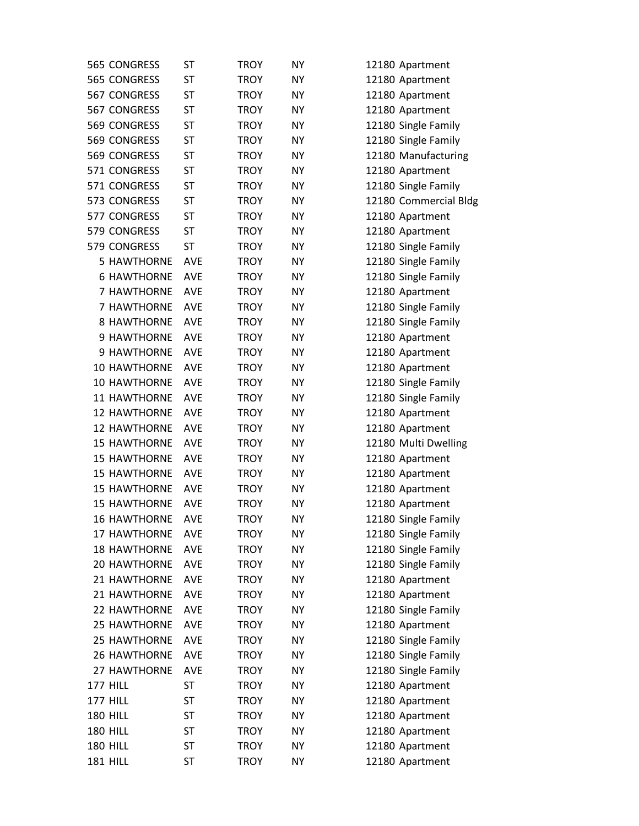| 565 CONGRESS        | <b>ST</b>  | TROY        | ΝY        | 12180 Apartment       |
|---------------------|------------|-------------|-----------|-----------------------|
| 565 CONGRESS        | ST         | <b>TROY</b> | <b>NY</b> | 12180 Apartment       |
| 567 CONGRESS        | ST         | <b>TROY</b> | ΝY        | 12180 Apartment       |
| 567 CONGRESS        | ST         | TROY        | <b>NY</b> | 12180 Apartment       |
| 569 CONGRESS        | ST         | <b>TROY</b> | <b>NY</b> | 12180 Single Family   |
| 569 CONGRESS        | ST         | <b>TROY</b> | <b>NY</b> | 12180 Single Family   |
| 569 CONGRESS        | ST         | <b>TROY</b> | <b>NY</b> | 12180 Manufacturing   |
| 571 CONGRESS        | ST         | <b>TROY</b> | ΝY        | 12180 Apartment       |
| 571 CONGRESS        | ST         | <b>TROY</b> | <b>NY</b> | 12180 Single Family   |
| 573 CONGRESS        | ST         | TROY        | NY.       | 12180 Commercial Bldg |
| 577 CONGRESS        | ST         | <b>TROY</b> | ΝY        | 12180 Apartment       |
| 579 CONGRESS        | ST         | <b>TROY</b> | <b>NY</b> | 12180 Apartment       |
| 579 CONGRESS        | ST         | <b>TROY</b> | ΝY        | 12180 Single Family   |
| <b>5 HAWTHORNE</b>  | <b>AVE</b> | <b>TROY</b> | ΝY        | 12180 Single Family   |
| <b>6 HAWTHORNE</b>  | <b>AVE</b> | <b>TROY</b> | NY.       | 12180 Single Family   |
| 7 HAWTHORNE         | <b>AVE</b> | <b>TROY</b> | <b>NY</b> | 12180 Apartment       |
| 7 HAWTHORNE         | <b>AVE</b> | <b>TROY</b> | <b>NY</b> | 12180 Single Family   |
| <b>8 HAWTHORNE</b>  | <b>AVE</b> | TROY        | ΝY        | 12180 Single Family   |
| 9 HAWTHORNE         | <b>AVE</b> | <b>TROY</b> | <b>NY</b> | 12180 Apartment       |
| 9 HAWTHORNE         | <b>AVE</b> | <b>TROY</b> | ΝY        | 12180 Apartment       |
| <b>10 HAWTHORNE</b> | AVE        | <b>TROY</b> | NY.       | 12180 Apartment       |
| 10 HAWTHORNE        | <b>AVE</b> | <b>TROY</b> | ΝY        | 12180 Single Family   |
| 11 HAWTHORNE        | AVE        | <b>TROY</b> | <b>NY</b> | 12180 Single Family   |
| <b>12 HAWTHORNE</b> | <b>AVE</b> | <b>TROY</b> | <b>NY</b> | 12180 Apartment       |
| <b>12 HAWTHORNE</b> | <b>AVE</b> | <b>TROY</b> | ΝY        | 12180 Apartment       |
| <b>15 HAWTHORNE</b> | <b>AVE</b> | <b>TROY</b> | ΝY        | 12180 Multi Dwelling  |
| <b>15 HAWTHORNE</b> | <b>AVE</b> | <b>TROY</b> | ΝY        | 12180 Apartment       |
| <b>15 HAWTHORNE</b> | <b>AVE</b> | <b>TROY</b> | ΝY        | 12180 Apartment       |
| <b>15 HAWTHORNE</b> | <b>AVE</b> | <b>TROY</b> | ΝY        | 12180 Apartment       |
| <b>15 HAWTHORNE</b> | <b>AVE</b> | <b>TROY</b> | ΝY        | 12180 Apartment       |
| <b>16 HAWTHORNE</b> | AVE        | <b>TROY</b> | <b>NY</b> | 12180 Single Family   |
| <b>17 HAWTHORNE</b> | <b>AVE</b> | <b>TROY</b> | NΥ        | 12180 Single Family   |
| <b>18 HAWTHORNE</b> | <b>AVE</b> | <b>TROY</b> | NY        | 12180 Single Family   |
| <b>20 HAWTHORNE</b> | <b>AVE</b> | <b>TROY</b> | ΝY        | 12180 Single Family   |
| 21 HAWTHORNE        | AVE        | <b>TROY</b> | NY        | 12180 Apartment       |
| 21 HAWTHORNE        | <b>AVE</b> | <b>TROY</b> | ΝY        | 12180 Apartment       |
| 22 HAWTHORNE        | AVE        | <b>TROY</b> | <b>NY</b> | 12180 Single Family   |
| 25 HAWTHORNE        | <b>AVE</b> | <b>TROY</b> | NY        | 12180 Apartment       |
| 25 HAWTHORNE        | AVE        | <b>TROY</b> | ΝY        | 12180 Single Family   |
| 26 HAWTHORNE        | AVE        | <b>TROY</b> | ΝY        | 12180 Single Family   |
| 27 HAWTHORNE        | <b>AVE</b> | <b>TROY</b> | ΝY        | 12180 Single Family   |
| <b>177 HILL</b>     | ST         | <b>TROY</b> | <b>NY</b> | 12180 Apartment       |
| <b>177 HILL</b>     | ST         | <b>TROY</b> | NY        | 12180 Apartment       |
| <b>180 HILL</b>     | ST         | <b>TROY</b> | ΝY        | 12180 Apartment       |
| <b>180 HILL</b>     | ST         | <b>TROY</b> | ΝY        | 12180 Apartment       |
| <b>180 HILL</b>     | ST         | <b>TROY</b> | ΝY        | 12180 Apartment       |
| <b>181 HILL</b>     | ST         | <b>TROY</b> | NΥ        | 12180 Apartment       |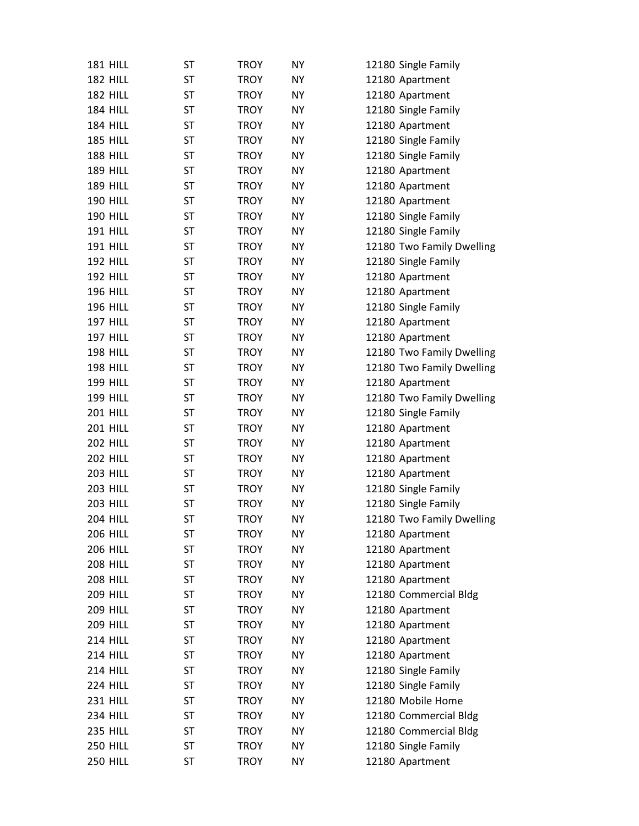| <b>181 HILL</b> | <b>ST</b> | <b>TROY</b> | <b>NY</b> | 12180 Single Family       |
|-----------------|-----------|-------------|-----------|---------------------------|
| <b>182 HILL</b> | <b>ST</b> | <b>TROY</b> | NΥ        | 12180 Apartment           |
| <b>182 HILL</b> | <b>ST</b> | <b>TROY</b> | NY        | 12180 Apartment           |
| <b>184 HILL</b> | <b>ST</b> | <b>TROY</b> | <b>NY</b> | 12180 Single Family       |
| <b>184 HILL</b> | ST        | <b>TROY</b> | <b>NY</b> | 12180 Apartment           |
| <b>185 HILL</b> | ST        | <b>TROY</b> | <b>NY</b> | 12180 Single Family       |
| <b>188 HILL</b> | ST        | <b>TROY</b> | NY        | 12180 Single Family       |
| <b>189 HILL</b> | ST        | <b>TROY</b> | <b>NY</b> | 12180 Apartment           |
| <b>189 HILL</b> | <b>ST</b> | <b>TROY</b> | <b>NY</b> | 12180 Apartment           |
| <b>190 HILL</b> | <b>ST</b> | TROY        | NY        | 12180 Apartment           |
| <b>190 HILL</b> | ST        | <b>TROY</b> | <b>NY</b> | 12180 Single Family       |
| <b>191 HILL</b> | ST        | <b>TROY</b> | NY        | 12180 Single Family       |
| <b>191 HILL</b> | ST        | <b>TROY</b> | NY        | 12180 Two Family Dwelling |
| <b>192 HILL</b> | <b>ST</b> | <b>TROY</b> | <b>NY</b> | 12180 Single Family       |
| <b>192 HILL</b> | <b>ST</b> | <b>TROY</b> | <b>NY</b> | 12180 Apartment           |
| <b>196 HILL</b> | ST        | <b>TROY</b> | <b>NY</b> | 12180 Apartment           |
| <b>196 HILL</b> | ST        | <b>TROY</b> | NY        | 12180 Single Family       |
| <b>197 HILL</b> | ST        | <b>TROY</b> | NY        | 12180 Apartment           |
| <b>197 HILL</b> | <b>ST</b> | <b>TROY</b> | <b>NY</b> | 12180 Apartment           |
| <b>198 HILL</b> | ST        | <b>TROY</b> | <b>NY</b> | 12180 Two Family Dwelling |
| <b>198 HILL</b> | ST        | <b>TROY</b> | NΥ        | 12180 Two Family Dwelling |
| <b>199 HILL</b> | <b>ST</b> | TROY        | NY        | 12180 Apartment           |
| <b>199 HILL</b> | <b>ST</b> | <b>TROY</b> | <b>NY</b> | 12180 Two Family Dwelling |
| <b>201 HILL</b> | ST        | <b>TROY</b> | NY        | 12180 Single Family       |
| <b>201 HILL</b> | ST        | <b>TROY</b> | <b>NY</b> | 12180 Apartment           |
| <b>202 HILL</b> | ST        | <b>TROY</b> | NY        | 12180 Apartment           |
| <b>202 HILL</b> | ST        | <b>TROY</b> | NY        | 12180 Apartment           |
| <b>203 HILL</b> | ST        | <b>TROY</b> | NY        | 12180 Apartment           |
| <b>203 HILL</b> | <b>ST</b> | <b>TROY</b> | NY        | 12180 Single Family       |
| <b>203 HILL</b> | <b>ST</b> | <b>TROY</b> | <b>NY</b> | 12180 Single Family       |
| <b>204 HILL</b> | <b>ST</b> | <b>TROY</b> | NY        | 12180 Two Family Dwelling |
| <b>206 HILL</b> | ST        | <b>TROY</b> | ΝY        | 12180 Apartment           |
| <b>206 HILL</b> | <b>ST</b> | <b>TROY</b> | NY        | 12180 Apartment           |
| <b>208 HILL</b> | <b>ST</b> | <b>TROY</b> | NΥ        | 12180 Apartment           |
| <b>208 HILL</b> | ST        | <b>TROY</b> | NY        | 12180 Apartment           |
| <b>209 HILL</b> | ST        | <b>TROY</b> | NY        | 12180 Commercial Bldg     |
| <b>209 HILL</b> | ST        | <b>TROY</b> | NY        | 12180 Apartment           |
| <b>209 HILL</b> | ST        | <b>TROY</b> | NY        | 12180 Apartment           |
| <b>214 HILL</b> | ST        | <b>TROY</b> | NY        | 12180 Apartment           |
| <b>214 HILL</b> | ST        | <b>TROY</b> | NY        | 12180 Apartment           |
| <b>214 HILL</b> | <b>ST</b> | <b>TROY</b> | NY        | 12180 Single Family       |
| <b>224 HILL</b> | ST        | <b>TROY</b> | NΥ        | 12180 Single Family       |
| <b>231 HILL</b> | ST        | <b>TROY</b> | NY        | 12180 Mobile Home         |
| <b>234 HILL</b> | ST        | <b>TROY</b> | NY        | 12180 Commercial Bldg     |
| <b>235 HILL</b> | ST        | <b>TROY</b> | NY        | 12180 Commercial Bldg     |
| <b>250 HILL</b> | ST        | <b>TROY</b> | ΝY        | 12180 Single Family       |
| <b>250 HILL</b> | <b>ST</b> | <b>TROY</b> | NY        | 12180 Apartment           |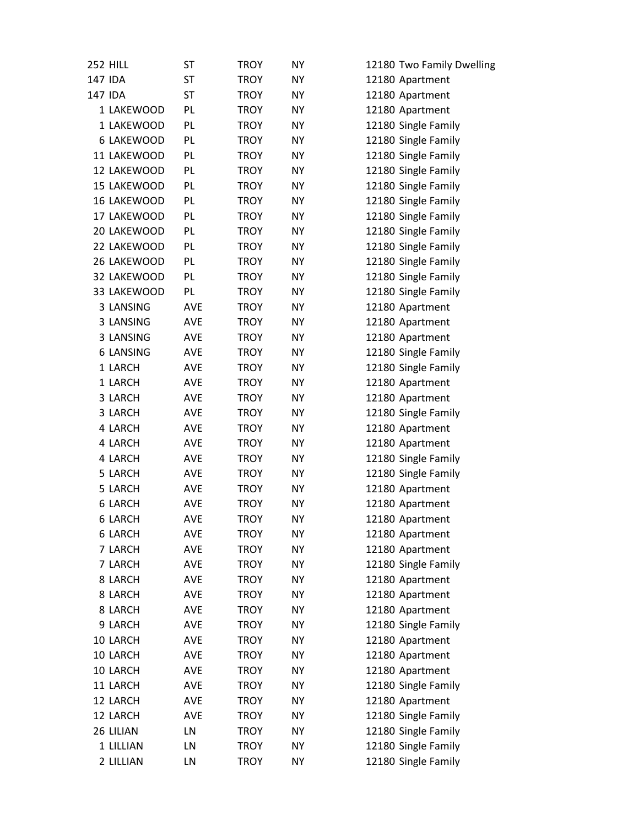|         | <b>252 HILL</b>   | <b>ST</b>  | <b>TROY</b> | <b>NY</b> | 12180 Two Family Dwelling |
|---------|-------------------|------------|-------------|-----------|---------------------------|
| 147 IDA |                   | ST         | <b>TROY</b> | <b>NY</b> | 12180 Apartment           |
| 147 IDA |                   | ST         | TROY        | NY.       | 12180 Apartment           |
|         | 1 LAKEWOOD        | PL         | <b>TROY</b> | <b>NY</b> | 12180 Apartment           |
|         | 1 LAKEWOOD        | PL         | <b>TROY</b> | <b>NY</b> | 12180 Single Family       |
|         | <b>6 LAKEWOOD</b> | PL         | <b>TROY</b> | <b>NY</b> | 12180 Single Family       |
|         | 11 LAKEWOOD       | PL         | <b>TROY</b> | <b>NY</b> | 12180 Single Family       |
|         | 12 LAKEWOOD       | PL         | <b>TROY</b> | NY.       | 12180 Single Family       |
|         | 15 LAKEWOOD       | PL         | <b>TROY</b> | <b>NY</b> | 12180 Single Family       |
|         | 16 LAKEWOOD       | PL         | TROY        | NY.       | 12180 Single Family       |
|         | 17 LAKEWOOD       | PL         | <b>TROY</b> | <b>NY</b> | 12180 Single Family       |
|         | 20 LAKEWOOD       | PL         | <b>TROY</b> | <b>NY</b> | 12180 Single Family       |
|         | 22 LAKEWOOD       | PL         | <b>TROY</b> | NY.       | 12180 Single Family       |
|         | 26 LAKEWOOD       | PL         | <b>TROY</b> | <b>NY</b> | 12180 Single Family       |
|         | 32 LAKEWOOD       | PL         | <b>TROY</b> | NY        | 12180 Single Family       |
|         | 33 LAKEWOOD       | PL         | <b>TROY</b> | <b>NY</b> | 12180 Single Family       |
|         | 3 LANSING         | <b>AVE</b> | <b>TROY</b> | ΝY        | 12180 Apartment           |
|         | 3 LANSING         | <b>AVE</b> | <b>TROY</b> | <b>NY</b> | 12180 Apartment           |
|         | 3 LANSING         | <b>AVE</b> | <b>TROY</b> | <b>NY</b> | 12180 Apartment           |
|         | <b>6 LANSING</b>  | <b>AVE</b> | <b>TROY</b> | NY.       | 12180 Single Family       |
|         | 1 LARCH           | <b>AVE</b> | <b>TROY</b> | ΝY        | 12180 Single Family       |
|         | 1 LARCH           | AVE        | <b>TROY</b> | NY        | 12180 Apartment           |
|         | 3 LARCH           | AVE        | <b>TROY</b> | <b>NY</b> | 12180 Apartment           |
|         | 3 LARCH           | <b>AVE</b> | <b>TROY</b> | <b>NY</b> | 12180 Single Family       |
|         | 4 LARCH           | <b>AVE</b> | <b>TROY</b> | NY.       | 12180 Apartment           |
|         | 4 LARCH           | <b>AVE</b> | <b>TROY</b> | <b>NY</b> | 12180 Apartment           |
|         | 4 LARCH           | AVE        | <b>TROY</b> | NY        | 12180 Single Family       |
|         | 5 LARCH           | <b>AVE</b> | <b>TROY</b> | NY.       | 12180 Single Family       |
|         | 5 LARCH           | AVE        | TROY        | ΝY        | 12180 Apartment           |
|         | <b>6 LARCH</b>    | AVE        | <b>TROY</b> | ΝY        | 12180 Apartment           |
|         | <b>6 LARCH</b>    | <b>AVE</b> | <b>TROY</b> | <b>NY</b> | 12180 Apartment           |
|         | <b>6 LARCH</b>    | AVE        | TROY        | ΝY        | 12180 Apartment           |
|         | 7 LARCH           | <b>AVE</b> | <b>TROY</b> | <b>NY</b> | 12180 Apartment           |
|         | 7 LARCH           | AVE        | TROY        | ΝY        | 12180 Single Family       |
|         | 8 LARCH           | AVE        | <b>TROY</b> | NΥ        | 12180 Apartment           |
|         | 8 LARCH           | <b>AVE</b> | <b>TROY</b> | ΝY        | 12180 Apartment           |
|         | 8 LARCH           | <b>AVE</b> | TROY        | NΥ        | 12180 Apartment           |
|         | 9 LARCH           | <b>AVE</b> | <b>TROY</b> | NΥ        | 12180 Single Family       |
|         | 10 LARCH          | AVE        | <b>TROY</b> | ΝY        | 12180 Apartment           |
|         | 10 LARCH          | <b>AVE</b> | <b>TROY</b> | ΝY        | 12180 Apartment           |
|         | 10 LARCH          | AVE        | TROY        | ΝY        | 12180 Apartment           |
|         | 11 LARCH          | <b>AVE</b> | <b>TROY</b> | <b>NY</b> | 12180 Single Family       |
|         | 12 LARCH          | AVE        | TROY        | NΥ        | 12180 Apartment           |
|         | 12 LARCH          | AVE        | <b>TROY</b> | NΥ        | 12180 Single Family       |
|         | 26 LILIAN         | LN         | <b>TROY</b> | NY        | 12180 Single Family       |
|         | 1 LILLIAN         | LN         | <b>TROY</b> | NΥ        | 12180 Single Family       |
|         | 2 LILLIAN         | LN         | <b>TROY</b> | ΝY        | 12180 Single Family       |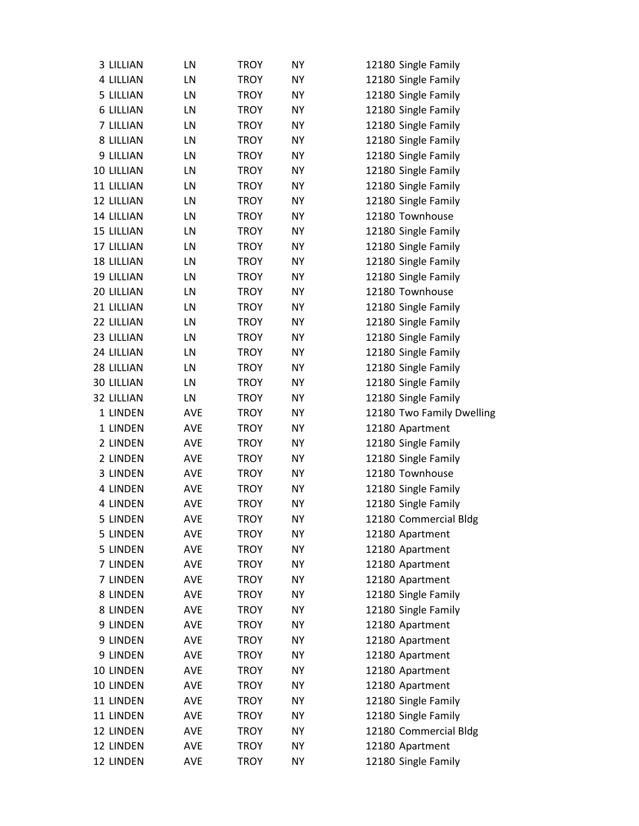| 3 LILLIAN         | LN         | <b>TROY</b> | NY        | 12180 Single Family       |
|-------------------|------------|-------------|-----------|---------------------------|
| 4 LILLIAN         | LN         | <b>TROY</b> | <b>NY</b> | 12180 Single Family       |
| 5 LILLIAN         | LN         | <b>TROY</b> | NY        | 12180 Single Family       |
| 6 LILLIAN         | LN         | <b>TROY</b> | <b>NY</b> | 12180 Single Family       |
| 7 LILLIAN         | LN         | <b>TROY</b> | NY        | 12180 Single Family       |
| 8 LILLIAN         | LN         | <b>TROY</b> | NY        | 12180 Single Family       |
| 9 LILLIAN         | LN         | <b>TROY</b> | ΝY        | 12180 Single Family       |
| 10 LILLIAN        | LN         | <b>TROY</b> | <b>NY</b> | 12180 Single Family       |
| 11 LILLIAN        | LN         | <b>TROY</b> | <b>NY</b> | 12180 Single Family       |
| 12 LILLIAN        | LN         | <b>TROY</b> | NY        | 12180 Single Family       |
| 14 LILLIAN        | LN         | <b>TROY</b> | <b>NY</b> | 12180 Townhouse           |
| 15 LILLIAN        | LN         | <b>TROY</b> | <b>NY</b> | 12180 Single Family       |
| 17 LILLIAN        | LN         | <b>TROY</b> | NY        | 12180 Single Family       |
| 18 LILLIAN        | LN         | <b>TROY</b> | NY        | 12180 Single Family       |
| 19 LILLIAN        | LN         | <b>TROY</b> | <b>NY</b> | 12180 Single Family       |
| 20 LILLIAN        | LN         | <b>TROY</b> | <b>NY</b> | 12180 Townhouse           |
| 21 LILLIAN        | LN         | <b>TROY</b> | NY        | 12180 Single Family       |
| 22 LILLIAN        | LN         | <b>TROY</b> | NY        | 12180 Single Family       |
| 23 LILLIAN        | LN         | <b>TROY</b> | NY        | 12180 Single Family       |
| 24 LILLIAN        | LN         | <b>TROY</b> | NY        | 12180 Single Family       |
| 28 LILLIAN        | LN         | <b>TROY</b> | NY        | 12180 Single Family       |
| <b>30 LILLIAN</b> | LN         | <b>TROY</b> | <b>NY</b> | 12180 Single Family       |
| 32 LILLIAN        | LN         | <b>TROY</b> | <b>NY</b> | 12180 Single Family       |
| 1 LINDEN          | AVE        | <b>TROY</b> | ΝY        | 12180 Two Family Dwelling |
| 1 LINDEN          | <b>AVE</b> | <b>TROY</b> | NY        | 12180 Apartment           |
| 2 LINDEN          | <b>AVE</b> | <b>TROY</b> | NY        | 12180 Single Family       |
| 2 LINDEN          | AVE        | <b>TROY</b> | <b>NY</b> | 12180 Single Family       |
| 3 LINDEN          | <b>AVE</b> | <b>TROY</b> | <b>NY</b> | 12180 Townhouse           |
| 4 LINDEN          | <b>AVE</b> | <b>TROY</b> | ΝY        | 12180 Single Family       |
| 4 LINDEN          | <b>AVE</b> | <b>TROY</b> | <b>NY</b> | 12180 Single Family       |
| 5 LINDEN          | AVE        | <b>TROY</b> | NY        | 12180 Commercial Bldg     |
| 5 LINDEN          | AVE        | <b>TROY</b> | ΝY        | 12180 Apartment           |
| 5 LINDEN          | AVE        | <b>TROY</b> | NΥ        | 12180 Apartment           |
| 7 LINDEN          | AVE        | <b>TROY</b> | NY        | 12180 Apartment           |
| 7 LINDEN          | <b>AVE</b> | <b>TROY</b> | NY        | 12180 Apartment           |
| 8 LINDEN          | AVE        | <b>TROY</b> | ΝY        | 12180 Single Family       |
| 8 LINDEN          | <b>AVE</b> | <b>TROY</b> | NY        | 12180 Single Family       |
| 9 LINDEN          | AVE        | <b>TROY</b> | NY        | 12180 Apartment           |
| 9 LINDEN          | AVE        | <b>TROY</b> | NY        | 12180 Apartment           |
| 9 LINDEN          | AVE        | <b>TROY</b> | NY        | 12180 Apartment           |
| 10 LINDEN         | AVE        | <b>TROY</b> | NΥ        | 12180 Apartment           |
| 10 LINDEN         | <b>AVE</b> | <b>TROY</b> | NY        | 12180 Apartment           |
| 11 LINDEN         | AVE        | <b>TROY</b> | ΝY        | 12180 Single Family       |
| 11 LINDEN         | AVE        | <b>TROY</b> | NY        | 12180 Single Family       |
| 12 LINDEN         | <b>AVE</b> | <b>TROY</b> | ΝY        | 12180 Commercial Bldg     |
| 12 LINDEN         | AVE        | <b>TROY</b> | NΥ        | 12180 Apartment           |
| 12 LINDEN         | AVE        | <b>TROY</b> | NΥ        | 12180 Single Family       |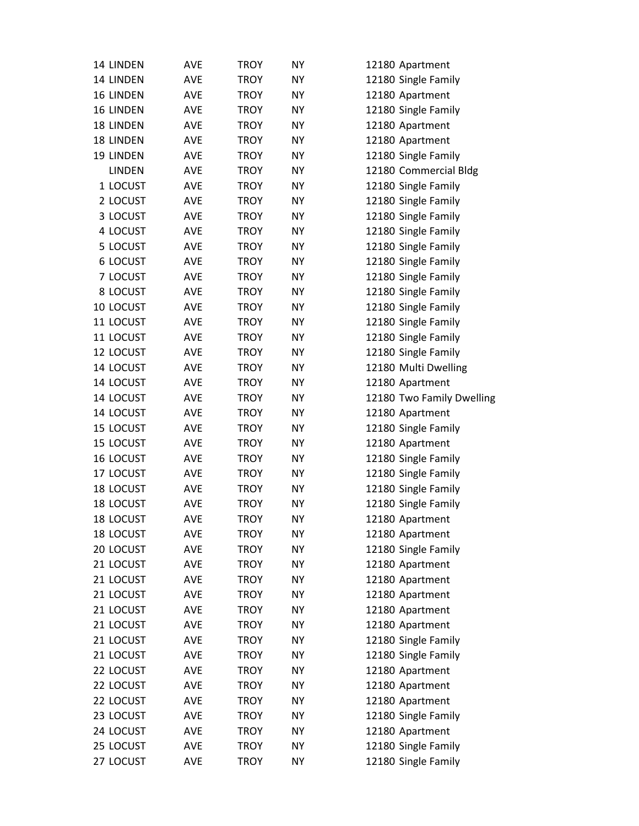| 14 LINDEN       | <b>AVE</b> | <b>TROY</b> | NY        | 12180 Apartment           |
|-----------------|------------|-------------|-----------|---------------------------|
| 14 LINDEN       | <b>AVE</b> | <b>TROY</b> | <b>NY</b> | 12180 Single Family       |
| 16 LINDEN       | <b>AVE</b> | <b>TROY</b> | <b>NY</b> | 12180 Apartment           |
| 16 LINDEN       | AVE        | <b>TROY</b> | <b>NY</b> | 12180 Single Family       |
| 18 LINDEN       | AVE        | <b>TROY</b> | <b>NY</b> | 12180 Apartment           |
| 18 LINDEN       | AVE        | <b>TROY</b> | <b>NY</b> | 12180 Apartment           |
| 19 LINDEN       | <b>AVE</b> | <b>TROY</b> | NY        | 12180 Single Family       |
| <b>LINDEN</b>   | <b>AVE</b> | <b>TROY</b> | <b>NY</b> | 12180 Commercial Bldg     |
| 1 LOCUST        | <b>AVE</b> | <b>TROY</b> | <b>NY</b> | 12180 Single Family       |
| 2 LOCUST        | AVE        | <b>TROY</b> | <b>NY</b> | 12180 Single Family       |
| 3 LOCUST        | <b>AVE</b> | <b>TROY</b> | <b>NY</b> | 12180 Single Family       |
| 4 LOCUST        | <b>AVE</b> | <b>TROY</b> | <b>NY</b> | 12180 Single Family       |
| 5 LOCUST        | <b>AVE</b> | <b>TROY</b> | NY        | 12180 Single Family       |
| <b>6 LOCUST</b> | <b>AVE</b> | <b>TROY</b> | NY        | 12180 Single Family       |
| 7 LOCUST        | <b>AVE</b> | <b>TROY</b> | <b>NY</b> | 12180 Single Family       |
| 8 LOCUST        | <b>AVE</b> | <b>TROY</b> | <b>NY</b> | 12180 Single Family       |
| 10 LOCUST       | AVE        | <b>TROY</b> | <b>NY</b> | 12180 Single Family       |
| 11 LOCUST       | <b>AVE</b> | <b>TROY</b> | <b>NY</b> | 12180 Single Family       |
| 11 LOCUST       | <b>AVE</b> | <b>TROY</b> | NY        | 12180 Single Family       |
| 12 LOCUST       | <b>AVE</b> | <b>TROY</b> | NY        | 12180 Single Family       |
| 14 LOCUST       | <b>AVE</b> | <b>TROY</b> | <b>NY</b> | 12180 Multi Dwelling      |
| 14 LOCUST       | <b>AVE</b> | <b>TROY</b> | <b>NY</b> | 12180 Apartment           |
| 14 LOCUST       | AVE        | <b>TROY</b> | <b>NY</b> | 12180 Two Family Dwelling |
| 14 LOCUST       | AVE        | TROY        | NY        | 12180 Apartment           |
| 15 LOCUST       | AVE        | <b>TROY</b> | NY        | 12180 Single Family       |
| 15 LOCUST       | <b>AVE</b> | <b>TROY</b> | <b>NY</b> | 12180 Apartment           |
| 16 LOCUST       | <b>AVE</b> | <b>TROY</b> | <b>NY</b> | 12180 Single Family       |
| 17 LOCUST       | <b>AVE</b> | <b>TROY</b> | <b>NY</b> | 12180 Single Family       |
| 18 LOCUST       | AVE        | <b>TROY</b> | ΝY        | 12180 Single Family       |
| 18 LOCUST       | AVE        | <b>TROY</b> | <b>NY</b> | 12180 Single Family       |
| 18 LOCUST       | AVE        | <b>TROY</b> | NY        | 12180 Apartment           |
| 18 LOCUST       | AVE        | TROY        | NΥ        | 12180 Apartment           |
| 20 LOCUST       | <b>AVE</b> | <b>TROY</b> | ΝY        | 12180 Single Family       |
| 21 LOCUST       | <b>AVE</b> | <b>TROY</b> | NY        | 12180 Apartment           |
| 21 LOCUST       | AVE        | <b>TROY</b> | NY        | 12180 Apartment           |
| 21 LOCUST       | AVE        | TROY        | ΝY        | 12180 Apartment           |
| 21 LOCUST       | AVE        | <b>TROY</b> | NΥ        | 12180 Apartment           |
| 21 LOCUST       | <b>AVE</b> | <b>TROY</b> | NY        | 12180 Apartment           |
| 21 LOCUST       | <b>AVE</b> | <b>TROY</b> | NY        | 12180 Single Family       |
| 21 LOCUST       | <b>AVE</b> | <b>TROY</b> | NY        | 12180 Single Family       |
| 22 LOCUST       | AVE        | <b>TROY</b> | ΝY        | 12180 Apartment           |
| 22 LOCUST       | <b>AVE</b> | <b>TROY</b> | NY        | 12180 Apartment           |
| 22 LOCUST       | AVE        | <b>TROY</b> | NY        | 12180 Apartment           |
| 23 LOCUST       | AVE        | <b>TROY</b> | NY        | 12180 Single Family       |
| 24 LOCUST       | <b>AVE</b> | <b>TROY</b> | ΝY        | 12180 Apartment           |
| 25 LOCUST       | AVE        | <b>TROY</b> | ΝY        | 12180 Single Family       |
| 27 LOCUST       | AVE        | <b>TROY</b> | ΝY        | 12180 Single Family       |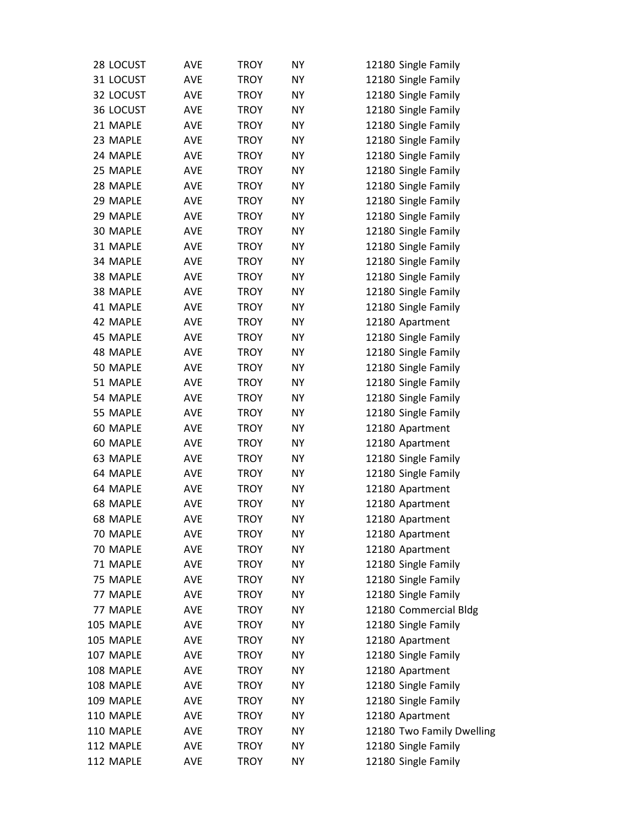| 28 LOCUST       | AVE        | <b>TROY</b> | <b>NY</b> | 12180 Single Family       |
|-----------------|------------|-------------|-----------|---------------------------|
| 31 LOCUST       | AVE        | <b>TROY</b> | <b>NY</b> | 12180 Single Family       |
| 32 LOCUST       | <b>AVE</b> | <b>TROY</b> | <b>NY</b> | 12180 Single Family       |
| 36 LOCUST       | AVE        | <b>TROY</b> | <b>NY</b> | 12180 Single Family       |
| 21 MAPLE        | AVE        | <b>TROY</b> | <b>NY</b> | 12180 Single Family       |
| 23 MAPLE        | AVE        | <b>TROY</b> | <b>NY</b> | 12180 Single Family       |
| 24 MAPLE        | <b>AVE</b> | <b>TROY</b> | <b>NY</b> | 12180 Single Family       |
| 25 MAPLE        | <b>AVE</b> | <b>TROY</b> | <b>NY</b> | 12180 Single Family       |
| 28 MAPLE        | AVE        | <b>TROY</b> | <b>NY</b> | 12180 Single Family       |
| 29 MAPLE        | AVE        | <b>TROY</b> | <b>NY</b> | 12180 Single Family       |
| 29 MAPLE        | <b>AVE</b> | <b>TROY</b> | <b>NY</b> | 12180 Single Family       |
| 30 MAPLE        | AVE        | <b>TROY</b> | <b>NY</b> | 12180 Single Family       |
| 31 MAPLE        | AVE        | <b>TROY</b> | <b>NY</b> | 12180 Single Family       |
| 34 MAPLE        | AVE        | <b>TROY</b> | <b>NY</b> | 12180 Single Family       |
| 38 MAPLE        | AVE        | <b>TROY</b> | <b>NY</b> | 12180 Single Family       |
| 38 MAPLE        | <b>AVE</b> | <b>TROY</b> | <b>NY</b> | 12180 Single Family       |
| 41 MAPLE        | <b>AVE</b> | <b>TROY</b> | <b>NY</b> | 12180 Single Family       |
| 42 MAPLE        | AVE        | <b>TROY</b> | <b>NY</b> | 12180 Apartment           |
| 45 MAPLE        | <b>AVE</b> | <b>TROY</b> | <b>NY</b> | 12180 Single Family       |
| <b>48 MAPLE</b> | <b>AVE</b> | <b>TROY</b> | <b>NY</b> | 12180 Single Family       |
| 50 MAPLE        | AVE        | <b>TROY</b> | <b>NY</b> | 12180 Single Family       |
| 51 MAPLE        | <b>AVE</b> | <b>TROY</b> | <b>NY</b> | 12180 Single Family       |
| 54 MAPLE        | AVE        | <b>TROY</b> | <b>NY</b> | 12180 Single Family       |
| 55 MAPLE        | AVE        | <b>TROY</b> | <b>NY</b> | 12180 Single Family       |
| 60 MAPLE        | AVE        | <b>TROY</b> | <b>NY</b> | 12180 Apartment           |
| 60 MAPLE        | <b>AVE</b> | <b>TROY</b> | <b>NY</b> | 12180 Apartment           |
| 63 MAPLE        | <b>AVE</b> | <b>TROY</b> | <b>NY</b> | 12180 Single Family       |
| 64 MAPLE        | <b>AVE</b> | <b>TROY</b> | <b>NY</b> | 12180 Single Family       |
| 64 MAPLE        | AVE        | <b>TROY</b> | <b>NY</b> | 12180 Apartment           |
| 68 MAPLE        | AVE        | <b>TROY</b> | <b>NY</b> | 12180 Apartment           |
| 68 MAPLE        | AVE        | <b>TROY</b> | <b>NY</b> | 12180 Apartment           |
| 70 MAPLE        | AVE        | <b>TROY</b> | ΝY        | 12180 Apartment           |
| 70 MAPLE        | <b>AVE</b> | <b>TROY</b> | <b>NY</b> | 12180 Apartment           |
| 71 MAPLE        | AVE        | <b>TROY</b> | <b>NY</b> | 12180 Single Family       |
| 75 MAPLE        | AVE        | <b>TROY</b> | <b>NY</b> | 12180 Single Family       |
| 77 MAPLE        | AVE        | <b>TROY</b> | NY        | 12180 Single Family       |
| 77 MAPLE        | AVE        | <b>TROY</b> | <b>NY</b> | 12180 Commercial Bldg     |
| 105 MAPLE       | AVE        | <b>TROY</b> | <b>NY</b> | 12180 Single Family       |
| 105 MAPLE       | AVE        | <b>TROY</b> | <b>NY</b> | 12180 Apartment           |
| 107 MAPLE       | AVE        | <b>TROY</b> | <b>NY</b> | 12180 Single Family       |
| 108 MAPLE       | AVE        | <b>TROY</b> | <b>NY</b> | 12180 Apartment           |
| 108 MAPLE       | AVE        | <b>TROY</b> | <b>NY</b> | 12180 Single Family       |
| 109 MAPLE       | AVE        | <b>TROY</b> | NY        | 12180 Single Family       |
| 110 MAPLE       | AVE        | <b>TROY</b> | NY        | 12180 Apartment           |
| 110 MAPLE       | AVE        | <b>TROY</b> | <b>NY</b> | 12180 Two Family Dwelling |
| 112 MAPLE       | AVE        | <b>TROY</b> | <b>NY</b> | 12180 Single Family       |
| 112 MAPLE       | AVE        | <b>TROY</b> | NY        | 12180 Single Family       |
|                 |            |             |           |                           |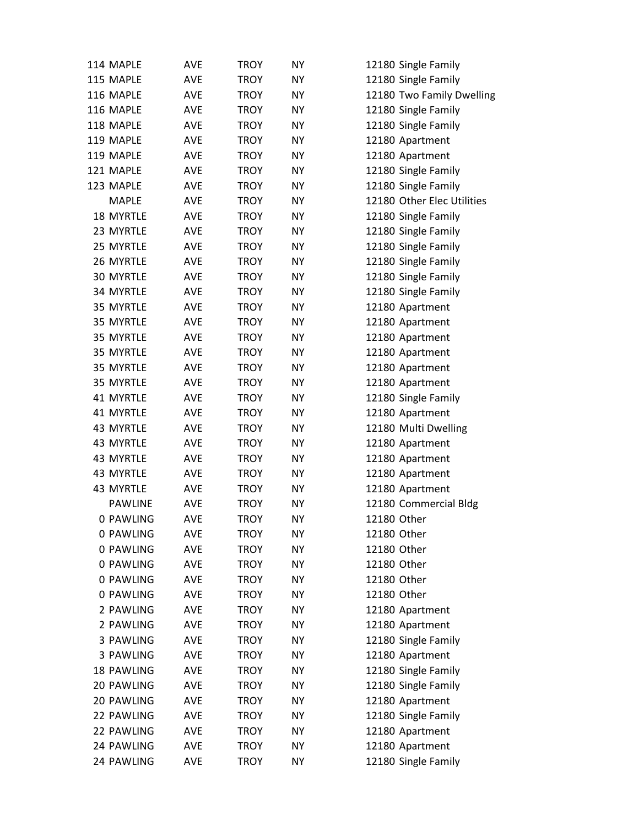| 114 MAPLE        | <b>AVE</b> | <b>TROY</b> | <b>NY</b> | 12180 Single Family        |
|------------------|------------|-------------|-----------|----------------------------|
| 115 MAPLE        | AVE        | <b>TROY</b> | <b>NY</b> | 12180 Single Family        |
| 116 MAPLE        | AVE        | <b>TROY</b> | ΝY        | 12180 Two Family Dwelling  |
| 116 MAPLE        | <b>AVE</b> | <b>TROY</b> | <b>NY</b> | 12180 Single Family        |
| 118 MAPLE        | <b>AVE</b> | <b>TROY</b> | <b>NY</b> | 12180 Single Family        |
| 119 MAPLE        | <b>AVE</b> | <b>TROY</b> | <b>NY</b> | 12180 Apartment            |
| 119 MAPLE        | AVE        | <b>TROY</b> | <b>NY</b> | 12180 Apartment            |
| 121 MAPLE        | AVE        | <b>TROY</b> | <b>NY</b> | 12180 Single Family        |
| 123 MAPLE        | AVE        | <b>TROY</b> | <b>NY</b> | 12180 Single Family        |
| <b>MAPLE</b>     | <b>AVE</b> | <b>TROY</b> | NY.       | 12180 Other Elec Utilities |
| 18 MYRTLE        | AVE        | <b>TROY</b> | <b>NY</b> | 12180 Single Family        |
| 23 MYRTLE        | AVE        | <b>TROY</b> | <b>NY</b> | 12180 Single Family        |
| 25 MYRTLE        | AVE        | <b>TROY</b> | <b>NY</b> | 12180 Single Family        |
| 26 MYRTLE        | <b>AVE</b> | <b>TROY</b> | <b>NY</b> | 12180 Single Family        |
| <b>30 MYRTLE</b> | AVE        | <b>TROY</b> | NY.       | 12180 Single Family        |
| 34 MYRTLE        | <b>AVE</b> | <b>TROY</b> | <b>NY</b> | 12180 Single Family        |
| 35 MYRTLE        | AVE        | <b>TROY</b> | ΝY        | 12180 Apartment            |
| 35 MYRTLE        | AVE        | <b>TROY</b> | <b>NY</b> | 12180 Apartment            |
| 35 MYRTLE        | <b>AVE</b> | <b>TROY</b> | ΝY        | 12180 Apartment            |
| 35 MYRTLE        | <b>AVE</b> | <b>TROY</b> | <b>NY</b> | 12180 Apartment            |
| 35 MYRTLE        | AVE        | <b>TROY</b> | <b>NY</b> | 12180 Apartment            |
| 35 MYRTLE        | AVE        | <b>TROY</b> | ΝY        | 12180 Apartment            |
| 41 MYRTLE        | <b>AVE</b> | <b>TROY</b> | <b>NY</b> | 12180 Single Family        |
| 41 MYRTLE        | AVE        | <b>TROY</b> | NY.       | 12180 Apartment            |
| 43 MYRTLE        | AVE        | <b>TROY</b> | <b>NY</b> | 12180 Multi Dwelling       |
| 43 MYRTLE        | AVE        | <b>TROY</b> | <b>NY</b> | 12180 Apartment            |
| 43 MYRTLE        | AVE        | <b>TROY</b> | <b>NY</b> | 12180 Apartment            |
| 43 MYRTLE        | AVE        | <b>TROY</b> | <b>NY</b> | 12180 Apartment            |
| 43 MYRTLE        | AVE        | <b>TROY</b> | NY.       | 12180 Apartment            |
| <b>PAWLINE</b>   | <b>AVE</b> | <b>TROY</b> | <b>NY</b> | 12180 Commercial Bldg      |
| 0 PAWLING        | AVE        | <b>TROY</b> | <b>NY</b> | 12180 Other                |
| 0 PAWLING        | AVE        | <b>TROY</b> | NΥ        | 12180 Other                |
| 0 PAWLING        | <b>AVE</b> | <b>TROY</b> | <b>NY</b> | 12180 Other                |
| 0 PAWLING        | AVE        | <b>TROY</b> | ΝY        | 12180 Other                |
| 0 PAWLING        | AVE        | <b>TROY</b> | <b>NY</b> | 12180 Other                |
| 0 PAWLING        | AVE        | <b>TROY</b> | ΝY        | 12180 Other                |
| 2 PAWLING        | AVE        | <b>TROY</b> | ΝY        | 12180 Apartment            |
| 2 PAWLING        | AVE        | <b>TROY</b> | <b>NY</b> | 12180 Apartment            |
| 3 PAWLING        | AVE        | <b>TROY</b> | ΝY        | 12180 Single Family        |
| 3 PAWLING        | AVE        | <b>TROY</b> | ΝY        | 12180 Apartment            |
| 18 PAWLING       | AVE        | <b>TROY</b> | ΝY        | 12180 Single Family        |
| 20 PAWLING       | <b>AVE</b> | <b>TROY</b> | <b>NY</b> | 12180 Single Family        |
| 20 PAWLING       | AVE        | <b>TROY</b> | NY        | 12180 Apartment            |
| 22 PAWLING       | AVE        | <b>TROY</b> | ΝY        | 12180 Single Family        |
| 22 PAWLING       | AVE        | <b>TROY</b> | ΝY        | 12180 Apartment            |
| 24 PAWLING       | AVE        | <b>TROY</b> | ΝY        | 12180 Apartment            |
| 24 PAWLING       | AVE        | <b>TROY</b> | ΝY        | 12180 Single Family        |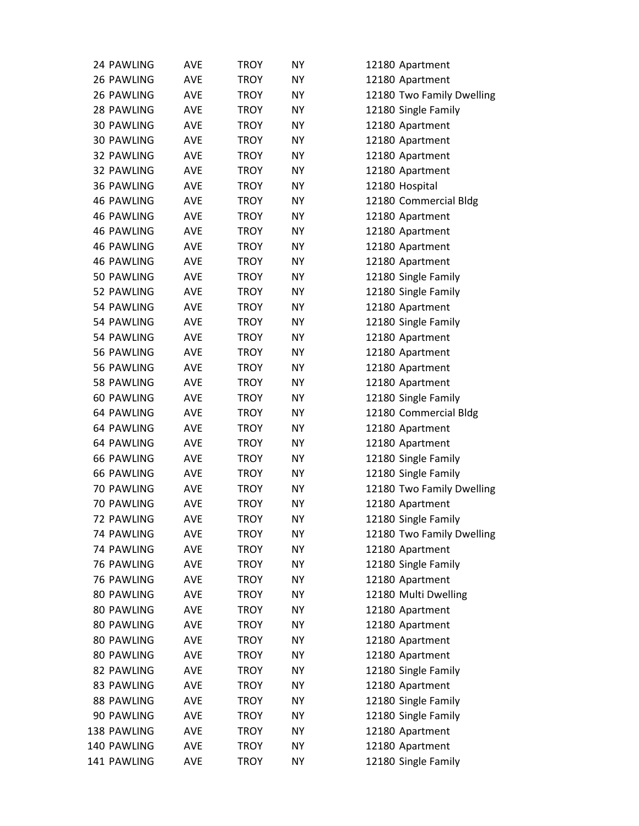| 24 PAWLING        | AVE        | <b>TROY</b> | <b>NY</b> | 12180 Apartment           |
|-------------------|------------|-------------|-----------|---------------------------|
| 26 PAWLING        | <b>AVE</b> | <b>TROY</b> | <b>NY</b> | 12180 Apartment           |
| 26 PAWLING        | AVE        | <b>TROY</b> | ΝY        | 12180 Two Family Dwelling |
| 28 PAWLING        | <b>AVE</b> | <b>TROY</b> | <b>NY</b> | 12180 Single Family       |
| <b>30 PAWLING</b> | <b>AVE</b> | TROY        | <b>NY</b> | 12180 Apartment           |
| <b>30 PAWLING</b> | <b>AVE</b> | TROY        | <b>NY</b> | 12180 Apartment           |
| 32 PAWLING        | <b>AVE</b> | <b>TROY</b> | <b>NY</b> | 12180 Apartment           |
| 32 PAWLING        | AVE        | <b>TROY</b> | <b>NY</b> | 12180 Apartment           |
| <b>36 PAWLING</b> | <b>AVE</b> | <b>TROY</b> | <b>NY</b> | 12180 Hospital            |
| <b>46 PAWLING</b> | AVE        | <b>TROY</b> | ΝY        | 12180 Commercial Bldg     |
| <b>46 PAWLING</b> | AVE        | TROY        | <b>NY</b> | 12180 Apartment           |
| <b>46 PAWLING</b> | AVE        | <b>TROY</b> | <b>NY</b> | 12180 Apartment           |
| <b>46 PAWLING</b> | AVE        | <b>TROY</b> | <b>NY</b> | 12180 Apartment           |
| <b>46 PAWLING</b> | AVE        | <b>TROY</b> | <b>NY</b> | 12180 Apartment           |
| 50 PAWLING        | AVE        | <b>TROY</b> | ΝY        | 12180 Single Family       |
| 52 PAWLING        | AVE        | <b>TROY</b> | <b>NY</b> | 12180 Single Family       |
| 54 PAWLING        | AVE        | TROY        | <b>NY</b> | 12180 Apartment           |
| 54 PAWLING        | AVE        | <b>TROY</b> | <b>NY</b> | 12180 Single Family       |
| 54 PAWLING        | <b>AVE</b> | TROY        | <b>NY</b> | 12180 Apartment           |
| <b>56 PAWLING</b> | <b>AVE</b> | <b>TROY</b> | <b>NY</b> | 12180 Apartment           |
| 56 PAWLING        | AVE        | <b>TROY</b> | <b>NY</b> | 12180 Apartment           |
| 58 PAWLING        | AVE        | TROY        | ΝY        | 12180 Apartment           |
| 60 PAWLING        | <b>AVE</b> | <b>TROY</b> | <b>NY</b> | 12180 Single Family       |
| 64 PAWLING        | AVE        | TROY        | <b>NY</b> | 12180 Commercial Bldg     |
| <b>64 PAWLING</b> | <b>AVE</b> | TROY        | <b>NY</b> | 12180 Apartment           |
| 64 PAWLING        | <b>AVE</b> | <b>TROY</b> | <b>NY</b> | 12180 Apartment           |
| <b>66 PAWLING</b> | AVE        | <b>TROY</b> | ΝY        | 12180 Single Family       |
| <b>66 PAWLING</b> | AVE        | TROY        | <b>NY</b> | 12180 Single Family       |
| 70 PAWLING        | AVE        | <b>TROY</b> | NY.       | 12180 Two Family Dwelling |
| 70 PAWLING        | AVE        | <b>TROY</b> | ΝY        | 12180 Apartment           |
| 72 PAWLING        | AVE        | <b>TROY</b> | <b>NY</b> | 12180 Single Family       |
| 74 PAWLING        | AVE        | <b>TROY</b> | ΝY        | 12180 Two Family Dwelling |
| 74 PAWLING        | <b>AVE</b> | <b>TROY</b> | NY        | 12180 Apartment           |
| 76 PAWLING        | AVE        | <b>TROY</b> | ΝY        | 12180 Single Family       |
| 76 PAWLING        | AVE        | <b>TROY</b> | NY        | 12180 Apartment           |
| 80 PAWLING        | AVE        | TROY        | ΝY        | 12180 Multi Dwelling      |
| <b>80 PAWLING</b> | AVE        | TROY        | <b>NY</b> | 12180 Apartment           |
| 80 PAWLING        | <b>AVE</b> | TROY        | NY        | 12180 Apartment           |
| 80 PAWLING        | AVE        | <b>TROY</b> | NY        | 12180 Apartment           |
| 80 PAWLING        | AVE        | <b>TROY</b> | NY        | 12180 Apartment           |
| 82 PAWLING        | AVE        | TROY        | ΝY        | 12180 Single Family       |
| 83 PAWLING        | <b>AVE</b> | <b>TROY</b> | ΝY        | 12180 Apartment           |
| 88 PAWLING        | AVE        | <b>TROY</b> | NY        | 12180 Single Family       |
| 90 PAWLING        | AVE        | <b>TROY</b> | NY        | 12180 Single Family       |
| 138 PAWLING       | <b>AVE</b> | <b>TROY</b> | NY        | 12180 Apartment           |
| 140 PAWLING       | AVE        | <b>TROY</b> | ΝY        | 12180 Apartment           |
| 141 PAWLING       | AVE        | TROY        | NY        | 12180 Single Family       |
|                   |            |             |           |                           |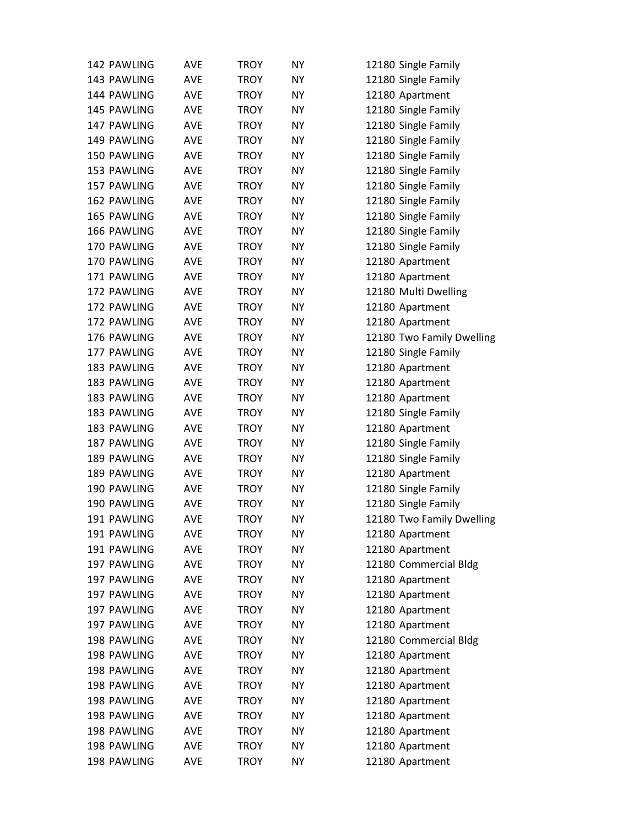| 142 PAWLING | <b>AVE</b> | <b>TROY</b> | <b>NY</b> | 12180 Single Family       |
|-------------|------------|-------------|-----------|---------------------------|
| 143 PAWLING | <b>AVE</b> | <b>TROY</b> | <b>NY</b> | 12180 Single Family       |
| 144 PAWLING | AVE        | <b>TROY</b> | <b>NY</b> | 12180 Apartment           |
| 145 PAWLING | <b>AVE</b> | <b>TROY</b> | <b>NY</b> | 12180 Single Family       |
| 147 PAWLING | <b>AVE</b> | <b>TROY</b> | <b>NY</b> | 12180 Single Family       |
| 149 PAWLING | <b>AVE</b> | <b>TROY</b> | <b>NY</b> | 12180 Single Family       |
| 150 PAWLING | <b>AVE</b> | <b>TROY</b> | <b>NY</b> | 12180 Single Family       |
| 153 PAWLING | <b>AVE</b> | <b>TROY</b> | <b>NY</b> | 12180 Single Family       |
| 157 PAWLING | <b>AVE</b> | <b>TROY</b> | <b>NY</b> | 12180 Single Family       |
| 162 PAWLING | AVE        | <b>TROY</b> | <b>NY</b> | 12180 Single Family       |
| 165 PAWLING | <b>AVE</b> | <b>TROY</b> | <b>NY</b> | 12180 Single Family       |
| 166 PAWLING | <b>AVE</b> | <b>TROY</b> | <b>NY</b> | 12180 Single Family       |
| 170 PAWLING | <b>AVE</b> | <b>TROY</b> | <b>NY</b> | 12180 Single Family       |
| 170 PAWLING | <b>AVE</b> | <b>TROY</b> | <b>NY</b> | 12180 Apartment           |
| 171 PAWLING | AVE        | <b>TROY</b> | <b>NY</b> | 12180 Apartment           |
| 172 PAWLING | <b>AVE</b> | <b>TROY</b> | <b>NY</b> | 12180 Multi Dwelling      |
| 172 PAWLING | <b>AVE</b> | <b>TROY</b> | <b>NY</b> | 12180 Apartment           |
| 172 PAWLING | <b>AVE</b> | <b>TROY</b> | <b>NY</b> | 12180 Apartment           |
| 176 PAWLING | AVE        | <b>TROY</b> | <b>NY</b> | 12180 Two Family Dwelling |
| 177 PAWLING | <b>AVE</b> | <b>TROY</b> | <b>NY</b> | 12180 Single Family       |
| 183 PAWLING | <b>AVE</b> | <b>TROY</b> | <b>NY</b> | 12180 Apartment           |
| 183 PAWLING | <b>AVE</b> | <b>TROY</b> | <b>NY</b> | 12180 Apartment           |
| 183 PAWLING | <b>AVE</b> | <b>TROY</b> | <b>NY</b> | 12180 Apartment           |
| 183 PAWLING | <b>AVE</b> | <b>TROY</b> | <b>NY</b> | 12180 Single Family       |
| 183 PAWLING | <b>AVE</b> | <b>TROY</b> | <b>NY</b> | 12180 Apartment           |
| 187 PAWLING | <b>AVE</b> | <b>TROY</b> | <b>NY</b> | 12180 Single Family       |
| 189 PAWLING | <b>AVE</b> | <b>TROY</b> | <b>NY</b> | 12180 Single Family       |
| 189 PAWLING | <b>AVE</b> | <b>TROY</b> | <b>NY</b> | 12180 Apartment           |
| 190 PAWLING | <b>AVE</b> | <b>TROY</b> | <b>NY</b> | 12180 Single Family       |
| 190 PAWLING | <b>AVE</b> | <b>TROY</b> | <b>NY</b> | 12180 Single Family       |
| 191 PAWLING | <b>AVE</b> | <b>TROY</b> | <b>NY</b> | 12180 Two Family Dwelling |
| 191 PAWLING | AVE        | <b>TROY</b> | ΝY        | 12180 Apartment           |
| 191 PAWLING | <b>AVE</b> | <b>TROY</b> | <b>NY</b> | 12180 Apartment           |
| 197 PAWLING | AVE        | <b>TROY</b> | ΝY        | 12180 Commercial Bldg     |
| 197 PAWLING | AVE        | <b>TROY</b> | <b>NY</b> | 12180 Apartment           |
| 197 PAWLING | <b>AVE</b> | <b>TROY</b> | <b>NY</b> | 12180 Apartment           |
| 197 PAWLING | <b>AVE</b> | <b>TROY</b> | <b>NY</b> | 12180 Apartment           |
| 197 PAWLING | <b>AVE</b> | <b>TROY</b> | <b>NY</b> | 12180 Apartment           |
| 198 PAWLING | AVE        | <b>TROY</b> | NY        | 12180 Commercial Bldg     |
| 198 PAWLING | <b>AVE</b> | <b>TROY</b> | <b>NY</b> | 12180 Apartment           |
| 198 PAWLING | <b>AVE</b> | <b>TROY</b> | <b>NY</b> | 12180 Apartment           |
| 198 PAWLING | AVE        | <b>TROY</b> | <b>NY</b> | 12180 Apartment           |
| 198 PAWLING | AVE        | <b>TROY</b> | ΝY        | 12180 Apartment           |
| 198 PAWLING | AVE        | <b>TROY</b> | NY        | 12180 Apartment           |
| 198 PAWLING | <b>AVE</b> | <b>TROY</b> | <b>NY</b> | 12180 Apartment           |
| 198 PAWLING | <b>AVE</b> | <b>TROY</b> | NΥ        | 12180 Apartment           |
| 198 PAWLING | AVE        | <b>TROY</b> | <b>NY</b> | 12180 Apartment           |
|             |            |             |           |                           |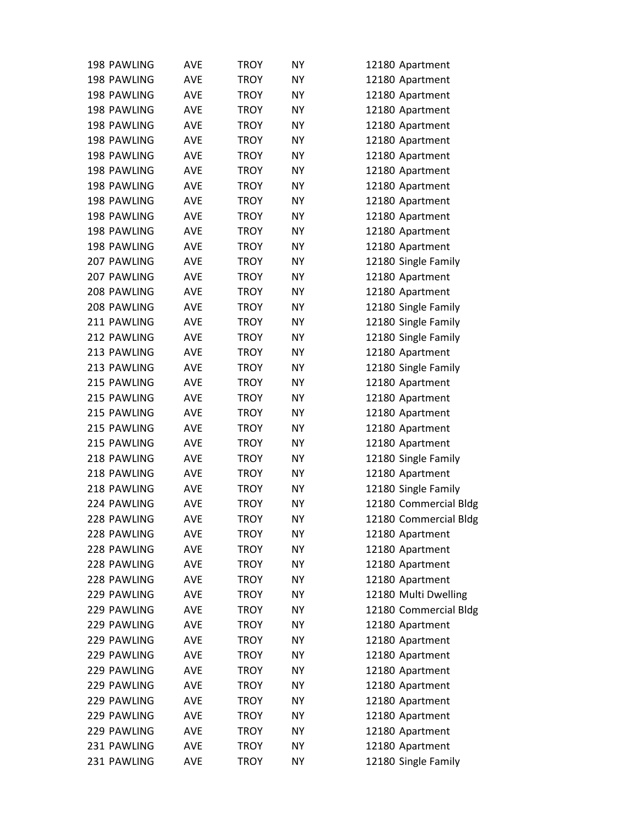| 198 PAWLING | <b>AVE</b> | <b>TROY</b> | <b>NY</b> | 12180 Apartment       |
|-------------|------------|-------------|-----------|-----------------------|
| 198 PAWLING | <b>AVE</b> | <b>TROY</b> | <b>NY</b> | 12180 Apartment       |
| 198 PAWLING | AVE        | TROY        | ΝY        | 12180 Apartment       |
| 198 PAWLING | <b>AVE</b> | <b>TROY</b> | <b>NY</b> | 12180 Apartment       |
| 198 PAWLING | <b>AVE</b> | <b>TROY</b> | <b>NY</b> | 12180 Apartment       |
| 198 PAWLING | <b>AVE</b> | TROY        | <b>NY</b> | 12180 Apartment       |
| 198 PAWLING | <b>AVE</b> | <b>TROY</b> | <b>NY</b> | 12180 Apartment       |
| 198 PAWLING | <b>AVE</b> | <b>TROY</b> | <b>NY</b> | 12180 Apartment       |
| 198 PAWLING | <b>AVE</b> | <b>TROY</b> | <b>NY</b> | 12180 Apartment       |
| 198 PAWLING | <b>AVE</b> | TROY        | <b>NY</b> | 12180 Apartment       |
| 198 PAWLING | <b>AVE</b> | <b>TROY</b> | <b>NY</b> | 12180 Apartment       |
| 198 PAWLING | <b>AVE</b> | <b>TROY</b> | <b>NY</b> | 12180 Apartment       |
| 198 PAWLING | <b>AVE</b> | <b>TROY</b> | <b>NY</b> | 12180 Apartment       |
| 207 PAWLING | <b>AVE</b> | <b>TROY</b> | <b>NY</b> | 12180 Single Family   |
| 207 PAWLING | AVE        | <b>TROY</b> | <b>NY</b> | 12180 Apartment       |
| 208 PAWLING | <b>AVE</b> | <b>TROY</b> | <b>NY</b> | 12180 Apartment       |
| 208 PAWLING | AVE        | TROY        | <b>NY</b> | 12180 Single Family   |
| 211 PAWLING | <b>AVE</b> | <b>TROY</b> | <b>NY</b> | 12180 Single Family   |
| 212 PAWLING | <b>AVE</b> | <b>TROY</b> | <b>NY</b> | 12180 Single Family   |
| 213 PAWLING | <b>AVE</b> | <b>TROY</b> | <b>NY</b> | 12180 Apartment       |
| 213 PAWLING | <b>AVE</b> | <b>TROY</b> | <b>NY</b> | 12180 Single Family   |
| 215 PAWLING | <b>AVE</b> | TROY        | <b>NY</b> | 12180 Apartment       |
| 215 PAWLING | <b>AVE</b> | <b>TROY</b> | <b>NY</b> | 12180 Apartment       |
| 215 PAWLING | AVE        | <b>TROY</b> | <b>NY</b> | 12180 Apartment       |
| 215 PAWLING | <b>AVE</b> | <b>TROY</b> | <b>NY</b> | 12180 Apartment       |
| 215 PAWLING | <b>AVE</b> | <b>TROY</b> | <b>NY</b> | 12180 Apartment       |
| 218 PAWLING | AVE        | <b>TROY</b> | <b>NY</b> | 12180 Single Family   |
| 218 PAWLING | <b>AVE</b> | <b>TROY</b> | <b>NY</b> | 12180 Apartment       |
| 218 PAWLING | AVE        | <b>TROY</b> | <b>NY</b> | 12180 Single Family   |
| 224 PAWLING | <b>AVE</b> | TROY        | <b>NY</b> | 12180 Commercial Bldg |
| 228 PAWLING | <b>AVE</b> | <b>TROY</b> | <b>NY</b> | 12180 Commercial Bldg |
| 228 PAWLING | AVE        | <b>TROY</b> | NΥ        | 12180 Apartment       |
| 228 PAWLING | <b>AVE</b> | <b>TROY</b> | <b>NY</b> | 12180 Apartment       |
| 228 PAWLING | AVE        | <b>TROY</b> | <b>NY</b> | 12180 Apartment       |
| 228 PAWLING | AVE        | <b>TROY</b> | NY        | 12180 Apartment       |
| 229 PAWLING | AVE        | <b>TROY</b> | <b>NY</b> | 12180 Multi Dwelling  |
| 229 PAWLING | <b>AVE</b> | <b>TROY</b> | <b>NY</b> | 12180 Commercial Bldg |
| 229 PAWLING | <b>AVE</b> | <b>TROY</b> | <b>NY</b> | 12180 Apartment       |
| 229 PAWLING | AVE        | <b>TROY</b> | <b>NY</b> | 12180 Apartment       |
| 229 PAWLING | <b>AVE</b> | <b>TROY</b> | <b>NY</b> | 12180 Apartment       |
| 229 PAWLING | AVE        | <b>TROY</b> | <b>NY</b> | 12180 Apartment       |
| 229 PAWLING | AVE        | <b>TROY</b> | <b>NY</b> | 12180 Apartment       |
| 229 PAWLING | AVE        | <b>TROY</b> | <b>NY</b> | 12180 Apartment       |
| 229 PAWLING | AVE        | <b>TROY</b> | <b>NY</b> | 12180 Apartment       |
| 229 PAWLING | AVE        | <b>TROY</b> | <b>NY</b> | 12180 Apartment       |
| 231 PAWLING | AVE        | <b>TROY</b> | <b>NY</b> | 12180 Apartment       |
| 231 PAWLING | AVE        | TROY        | NY        | 12180 Single Family   |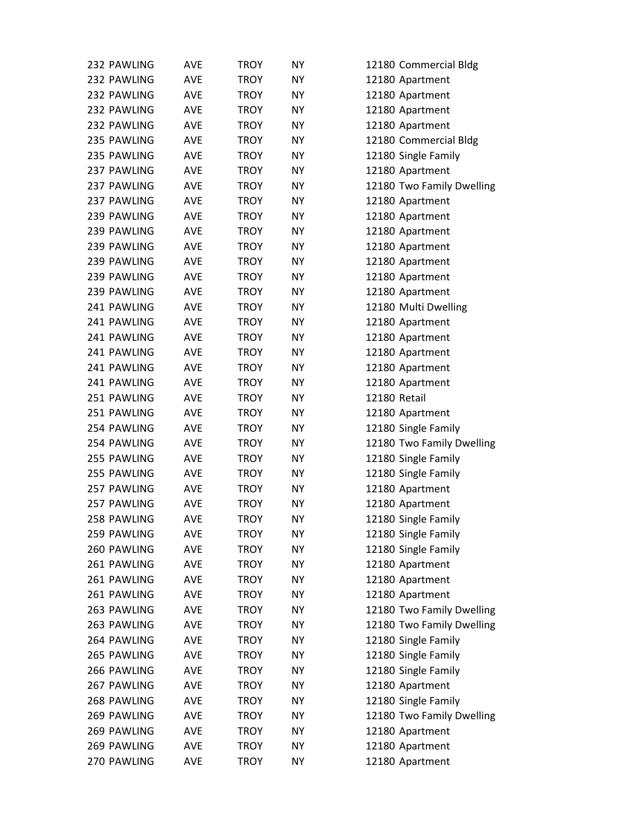| 232 PAWLING | AVE        | <b>TROY</b> | NY.       | 12180 Commercial Bldg     |
|-------------|------------|-------------|-----------|---------------------------|
| 232 PAWLING | <b>AVE</b> | <b>TROY</b> | <b>NY</b> | 12180 Apartment           |
| 232 PAWLING | AVE        | <b>TROY</b> | ΝY        | 12180 Apartment           |
| 232 PAWLING | <b>AVE</b> | <b>TROY</b> | <b>NY</b> | 12180 Apartment           |
| 232 PAWLING | AVE        | <b>TROY</b> | <b>NY</b> | 12180 Apartment           |
| 235 PAWLING | <b>AVE</b> | <b>TROY</b> | NY.       | 12180 Commercial Bldg     |
| 235 PAWLING | <b>AVE</b> | <b>TROY</b> | <b>NY</b> | 12180 Single Family       |
| 237 PAWLING | AVE        | <b>TROY</b> | ΝY        | 12180 Apartment           |
| 237 PAWLING | AVE        | <b>TROY</b> | <b>NY</b> | 12180 Two Family Dwelling |
| 237 PAWLING | AVE        | <b>TROY</b> | NY.       | 12180 Apartment           |
| 239 PAWLING | AVE        | <b>TROY</b> | NY.       | 12180 Apartment           |
| 239 PAWLING | AVE        | <b>TROY</b> | NY.       | 12180 Apartment           |
| 239 PAWLING | AVE        | <b>TROY</b> | ΝY        | 12180 Apartment           |
| 239 PAWLING | AVE        | <b>TROY</b> | <b>NY</b> | 12180 Apartment           |
| 239 PAWLING | <b>AVE</b> | <b>TROY</b> | NY.       | 12180 Apartment           |
| 239 PAWLING | <b>AVE</b> | <b>TROY</b> | <b>NY</b> | 12180 Apartment           |
| 241 PAWLING | AVE        | <b>TROY</b> | NY.       | 12180 Multi Dwelling      |
| 241 PAWLING | AVE        | <b>TROY</b> | ΝY        | 12180 Apartment           |
| 241 PAWLING | <b>AVE</b> | <b>TROY</b> | <b>NY</b> | 12180 Apartment           |
| 241 PAWLING | <b>AVE</b> | <b>TROY</b> | <b>NY</b> | 12180 Apartment           |
| 241 PAWLING | AVE        | <b>TROY</b> | <b>NY</b> | 12180 Apartment           |
| 241 PAWLING | AVE        | <b>TROY</b> | ΝY        | 12180 Apartment           |
| 251 PAWLING | AVE        | <b>TROY</b> | <b>NY</b> | 12180 Retail              |
| 251 PAWLING | AVE        | <b>TROY</b> | NY.       | 12180 Apartment           |
| 254 PAWLING | <b>AVE</b> | <b>TROY</b> | NY.       | 12180 Single Family       |
| 254 PAWLING | <b>AVE</b> | <b>TROY</b> | <b>NY</b> | 12180 Two Family Dwelling |
| 255 PAWLING | <b>AVE</b> | <b>TROY</b> | ΝY        | 12180 Single Family       |
| 255 PAWLING | AVE        | <b>TROY</b> | NY.       | 12180 Single Family       |
| 257 PAWLING | AVE        | <b>TROY</b> | NY.       | 12180 Apartment           |
| 257 PAWLING | AVE        | TROY        | ΝY        | 12180 Apartment           |
| 258 PAWLING | AVE        | <b>TROY</b> | NΥ        | 12180 Single Family       |
| 259 PAWLING | AVE        | TROY        | ΝY        | 12180 Single Family       |
| 260 PAWLING | <b>AVE</b> | <b>TROY</b> | <b>NY</b> | 12180 Single Family       |
| 261 PAWLING | AVE        | <b>TROY</b> | ΝY        | 12180 Apartment           |
| 261 PAWLING | AVE        | <b>TROY</b> | NY        | 12180 Apartment           |
| 261 PAWLING | AVE        | <b>TROY</b> | ΝY        | 12180 Apartment           |
| 263 PAWLING | <b>AVE</b> | <b>TROY</b> | ΝY        | 12180 Two Family Dwelling |
| 263 PAWLING | <b>AVE</b> | <b>TROY</b> | NY        | 12180 Two Family Dwelling |
| 264 PAWLING | AVE        | <b>TROY</b> | ΝY        | 12180 Single Family       |
| 265 PAWLING | <b>AVE</b> | <b>TROY</b> | <b>NY</b> | 12180 Single Family       |
| 266 PAWLING | AVE        | <b>TROY</b> | ΝY        | 12180 Single Family       |
| 267 PAWLING | <b>AVE</b> | <b>TROY</b> | <b>NY</b> | 12180 Apartment           |
| 268 PAWLING | AVE        | <b>TROY</b> | ΝY        | 12180 Single Family       |
| 269 PAWLING | AVE        | <b>TROY</b> | <b>NY</b> | 12180 Two Family Dwelling |
| 269 PAWLING | AVE        | <b>TROY</b> | NY        | 12180 Apartment           |
| 269 PAWLING | AVE        | <b>TROY</b> | ΝY        | 12180 Apartment           |
| 270 PAWLING | AVE        | TROY        | NY        | 12180 Apartment           |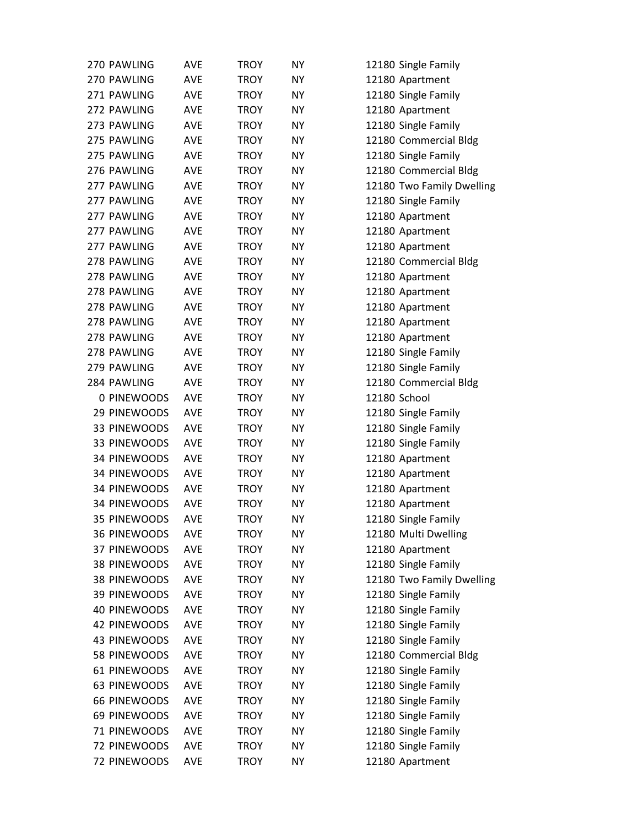| 270 PAWLING         | AVE        | <b>TROY</b> | NY.       | 12180 Single Family       |
|---------------------|------------|-------------|-----------|---------------------------|
| 270 PAWLING         | <b>AVE</b> | <b>TROY</b> | <b>NY</b> | 12180 Apartment           |
| 271 PAWLING         | AVE        | <b>TROY</b> | NY.       | 12180 Single Family       |
| 272 PAWLING         | AVE        | <b>TROY</b> | <b>NY</b> | 12180 Apartment           |
| 273 PAWLING         | AVE        | <b>TROY</b> | <b>NY</b> | 12180 Single Family       |
| 275 PAWLING         | <b>AVE</b> | <b>TROY</b> | <b>NY</b> | 12180 Commercial Bldg     |
| 275 PAWLING         | <b>AVE</b> | <b>TROY</b> | <b>NY</b> | 12180 Single Family       |
| 276 PAWLING         | <b>AVE</b> | <b>TROY</b> | <b>NY</b> | 12180 Commercial Bldg     |
| 277 PAWLING         | AVE        | <b>TROY</b> | <b>NY</b> | 12180 Two Family Dwelling |
| 277 PAWLING         | AVE        | <b>TROY</b> | <b>NY</b> | 12180 Single Family       |
| 277 PAWLING         | <b>AVE</b> | <b>TROY</b> | <b>NY</b> | 12180 Apartment           |
| 277 PAWLING         | <b>AVE</b> | <b>TROY</b> | <b>NY</b> | 12180 Apartment           |
| 277 PAWLING         | AVE        | <b>TROY</b> | <b>NY</b> | 12180 Apartment           |
| 278 PAWLING         | <b>AVE</b> | <b>TROY</b> | <b>NY</b> | 12180 Commercial Bldg     |
| 278 PAWLING         | AVE        | <b>TROY</b> | <b>NY</b> | 12180 Apartment           |
| 278 PAWLING         | <b>AVE</b> | <b>TROY</b> | <b>NY</b> | 12180 Apartment           |
| 278 PAWLING         | AVE        | <b>TROY</b> | <b>NY</b> | 12180 Apartment           |
| 278 PAWLING         | <b>AVE</b> | <b>TROY</b> | <b>NY</b> | 12180 Apartment           |
| 278 PAWLING         | <b>AVE</b> | <b>TROY</b> | <b>NY</b> | 12180 Apartment           |
| 278 PAWLING         | <b>AVE</b> | <b>TROY</b> | <b>NY</b> | 12180 Single Family       |
| 279 PAWLING         | AVE        | <b>TROY</b> | <b>NY</b> | 12180 Single Family       |
| 284 PAWLING         | AVE        | <b>TROY</b> | <b>NY</b> | 12180 Commercial Bldg     |
| 0 PINEWOODS         | AVE        | <b>TROY</b> | <b>NY</b> | 12180 School              |
| 29 PINEWOODS        | <b>AVE</b> | <b>TROY</b> | <b>NY</b> | 12180 Single Family       |
| 33 PINEWOODS        | <b>AVE</b> | <b>TROY</b> | <b>NY</b> | 12180 Single Family       |
| 33 PINEWOODS        | <b>AVE</b> | <b>TROY</b> | <b>NY</b> | 12180 Single Family       |
| 34 PINEWOODS        | <b>AVE</b> | <b>TROY</b> | NY.       | 12180 Apartment           |
| 34 PINEWOODS        | AVE        | <b>TROY</b> | <b>NY</b> | 12180 Apartment           |
| 34 PINEWOODS        | AVE        | <b>TROY</b> | NY.       | 12180 Apartment           |
| 34 PINEWOODS        | AVE        | <b>TROY</b> | <b>NY</b> | 12180 Apartment           |
| 35 PINEWOODS        | AVE        | <b>TROY</b> | <b>NY</b> | 12180 Single Family       |
| <b>36 PINEWOODS</b> | AVE        | <b>TROY</b> | ΝY        | 12180 Multi Dwelling      |
| 37 PINEWOODS        | AVE        | <b>TROY</b> | <b>NY</b> | 12180 Apartment           |
| 38 PINEWOODS        | AVE        | <b>TROY</b> | NY.       | 12180 Single Family       |
| 38 PINEWOODS        | AVE        | <b>TROY</b> | NY        | 12180 Two Family Dwelling |
| 39 PINEWOODS        | AVE        | <b>TROY</b> | <b>NY</b> | 12180 Single Family       |
| <b>40 PINEWOODS</b> | AVE        | <b>TROY</b> | <b>NY</b> | 12180 Single Family       |
| 42 PINEWOODS        | AVE        | <b>TROY</b> | <b>NY</b> | 12180 Single Family       |
| 43 PINEWOODS        | AVE        | <b>TROY</b> | ΝY        | 12180 Single Family       |
| 58 PINEWOODS        | AVE        | <b>TROY</b> | <b>NY</b> | 12180 Commercial Bldg     |
| 61 PINEWOODS        | AVE        | <b>TROY</b> | ΝY        | 12180 Single Family       |
| 63 PINEWOODS        | AVE        | <b>TROY</b> | NY        | 12180 Single Family       |
| 66 PINEWOODS        | AVE        | <b>TROY</b> | ΝY        | 12180 Single Family       |
| 69 PINEWOODS        | AVE        | <b>TROY</b> | <b>NY</b> | 12180 Single Family       |
| 71 PINEWOODS        | AVE        | <b>TROY</b> | <b>NY</b> | 12180 Single Family       |
| 72 PINEWOODS        | AVE        | <b>TROY</b> | ΝY        | 12180 Single Family       |
| 72 PINEWOODS        | AVE        | <b>TROY</b> | <b>NY</b> | 12180 Apartment           |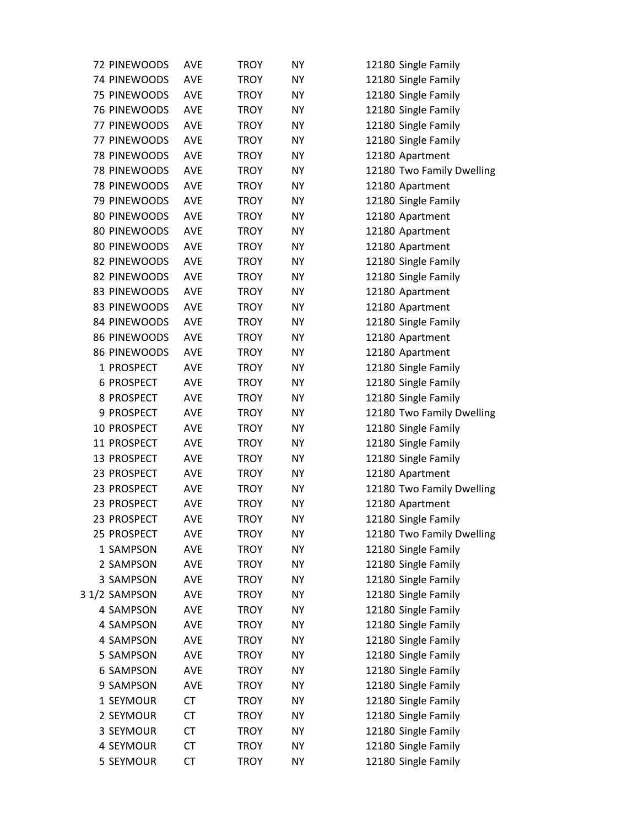| 72 PINEWOODS        | <b>AVE</b> | <b>TROY</b> | <b>NY</b> | 12180 Single Family       |
|---------------------|------------|-------------|-----------|---------------------------|
| 74 PINEWOODS        | <b>AVE</b> | <b>TROY</b> | <b>NY</b> | 12180 Single Family       |
| 75 PINEWOODS        | AVE        | <b>TROY</b> | NY.       | 12180 Single Family       |
| 76 PINEWOODS        | AVE        | <b>TROY</b> | <b>NY</b> | 12180 Single Family       |
| 77 PINEWOODS        | AVE        | <b>TROY</b> | <b>NY</b> | 12180 Single Family       |
| 77 PINEWOODS        | <b>AVE</b> | <b>TROY</b> | <b>NY</b> | 12180 Single Family       |
| 78 PINEWOODS        | <b>AVE</b> | <b>TROY</b> | <b>NY</b> | 12180 Apartment           |
| 78 PINEWOODS        | AVE        | <b>TROY</b> | NY.       | 12180 Two Family Dwelling |
| 78 PINEWOODS        | <b>AVE</b> | <b>TROY</b> | <b>NY</b> | 12180 Apartment           |
| 79 PINEWOODS        | AVE        | <b>TROY</b> | <b>NY</b> | 12180 Single Family       |
| 80 PINEWOODS        | AVE        | <b>TROY</b> | <b>NY</b> | 12180 Apartment           |
| 80 PINEWOODS        | <b>AVE</b> | <b>TROY</b> | <b>NY</b> | 12180 Apartment           |
| 80 PINEWOODS        | AVE        | <b>TROY</b> | <b>NY</b> | 12180 Apartment           |
| 82 PINEWOODS        | <b>AVE</b> | <b>TROY</b> | <b>NY</b> | 12180 Single Family       |
| 82 PINEWOODS        | AVE        | <b>TROY</b> | NY.       | 12180 Single Family       |
| 83 PINEWOODS        | <b>AVE</b> | <b>TROY</b> | <b>NY</b> | 12180 Apartment           |
| 83 PINEWOODS        | <b>AVE</b> | <b>TROY</b> | NY        | 12180 Apartment           |
| 84 PINEWOODS        | AVE        | <b>TROY</b> | <b>NY</b> | 12180 Single Family       |
| 86 PINEWOODS        | <b>AVE</b> | <b>TROY</b> | <b>NY</b> | 12180 Apartment           |
| <b>86 PINEWOODS</b> | <b>AVE</b> | <b>TROY</b> | <b>NY</b> | 12180 Apartment           |
| 1 PROSPECT          | <b>AVE</b> | <b>TROY</b> | <b>NY</b> | 12180 Single Family       |
| 6 PROSPECT          | AVE        | <b>TROY</b> | NY.       | 12180 Single Family       |
| 8 PROSPECT          | <b>AVE</b> | <b>TROY</b> | <b>NY</b> | 12180 Single Family       |
| 9 PROSPECT          | AVE        | <b>TROY</b> | <b>NY</b> | 12180 Two Family Dwelling |
| 10 PROSPECT         | <b>AVE</b> | <b>TROY</b> | <b>NY</b> | 12180 Single Family       |
| 11 PROSPECT         | <b>AVE</b> | <b>TROY</b> | <b>NY</b> | 12180 Single Family       |
| 13 PROSPECT         | <b>AVE</b> | <b>TROY</b> | ΝY        | 12180 Single Family       |
| 23 PROSPECT         | AVE        | <b>TROY</b> | <b>NY</b> | 12180 Apartment           |
| 23 PROSPECT         | AVE        | <b>TROY</b> | NY        | 12180 Two Family Dwelling |
| 23 PROSPECT         | <b>AVE</b> | <b>TROY</b> | <b>NY</b> | 12180 Apartment           |
| 23 PROSPECT         | AVE        | <b>TROY</b> | <b>NY</b> | 12180 Single Family       |
| 25 PROSPECT         | AVE        | <b>TROY</b> | <b>NY</b> | 12180 Two Family Dwelling |
| 1 SAMPSON           | AVE        | <b>TROY</b> | <b>NY</b> | 12180 Single Family       |
| 2 SAMPSON           | AVE        | <b>TROY</b> | <b>NY</b> | 12180 Single Family       |
| 3 SAMPSON           | AVE        | <b>TROY</b> | NY        | 12180 Single Family       |
| 3 1/2 SAMPSON       | <b>AVE</b> | <b>TROY</b> | NY        | 12180 Single Family       |
| 4 SAMPSON           | <b>AVE</b> | <b>TROY</b> | NY        | 12180 Single Family       |
| 4 SAMPSON           | AVE        | <b>TROY</b> | <b>NY</b> | 12180 Single Family       |
| 4 SAMPSON           | AVE        | <b>TROY</b> | NY        | 12180 Single Family       |
| 5 SAMPSON           | <b>AVE</b> | <b>TROY</b> | <b>NY</b> | 12180 Single Family       |
| 6 SAMPSON           | AVE        | <b>TROY</b> | <b>NY</b> | 12180 Single Family       |
| 9 SAMPSON           | <b>AVE</b> | <b>TROY</b> | NY        | 12180 Single Family       |
| 1 SEYMOUR           | CT         | <b>TROY</b> | NY        | 12180 Single Family       |
| 2 SEYMOUR           | CT         | <b>TROY</b> | NY        | 12180 Single Family       |
| 3 SEYMOUR           | <b>CT</b>  | <b>TROY</b> | <b>NY</b> | 12180 Single Family       |
| 4 SEYMOUR           | CT         | <b>TROY</b> | ΝY        | 12180 Single Family       |
| 5 SEYMOUR           | CT         | <b>TROY</b> | NY        | 12180 Single Family       |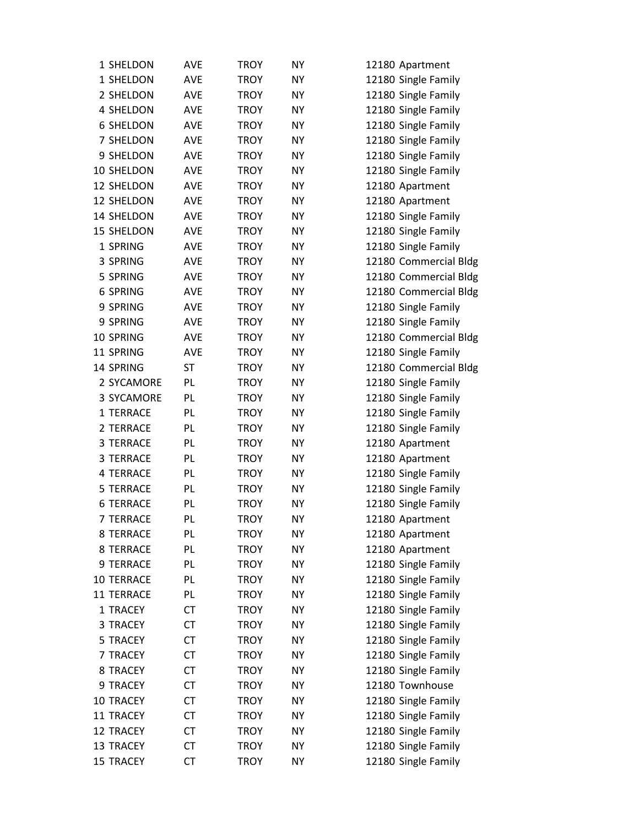| 1 SHELDON         | <b>AVE</b><br>AVE | <b>TROY</b> | NY        | 12180 Apartment       |
|-------------------|-------------------|-------------|-----------|-----------------------|
| 1 SHELDON         |                   | <b>TROY</b> | ΝY        | 12180 Single Family   |
| 2 SHELDON         | AVE               | <b>TROY</b> | ΝY        | 12180 Single Family   |
| 4 SHELDON         | <b>AVE</b>        | <b>TROY</b> | <b>NY</b> | 12180 Single Family   |
| <b>6 SHELDON</b>  | <b>AVE</b>        | <b>TROY</b> | NY        | 12180 Single Family   |
| 7 SHELDON         | AVE               | <b>TROY</b> | NY        | 12180 Single Family   |
| 9 SHELDON         | <b>AVE</b>        | <b>TROY</b> | NY        | 12180 Single Family   |
| 10 SHELDON        | <b>AVE</b>        | <b>TROY</b> | NY        | 12180 Single Family   |
| 12 SHELDON        | <b>AVE</b>        | <b>TROY</b> | NY        | 12180 Apartment       |
| 12 SHELDON        | AVE               | <b>TROY</b> | NY        | 12180 Apartment       |
| 14 SHELDON        | AVE               | <b>TROY</b> | NY        | 12180 Single Family   |
| <b>15 SHELDON</b> | AVE               | <b>TROY</b> | NY        | 12180 Single Family   |
| 1 SPRING          | <b>AVE</b>        | <b>TROY</b> | NY        | 12180 Single Family   |
| 3 SPRING          | <b>AVE</b>        | <b>TROY</b> | NY        | 12180 Commercial Bldg |
| 5 SPRING          | <b>AVE</b>        | <b>TROY</b> | ΝY        | 12180 Commercial Bldg |
| 6 SPRING          | <b>AVE</b>        | <b>TROY</b> | NY        | 12180 Commercial Bldg |
| 9 SPRING          | AVE               | <b>TROY</b> | NY        | 12180 Single Family   |
| 9 SPRING          | AVE               | <b>TROY</b> | NY        | 12180 Single Family   |
| 10 SPRING         | <b>AVE</b>        | <b>TROY</b> | NY        | 12180 Commercial Bldg |
| 11 SPRING         | <b>AVE</b>        | <b>TROY</b> | NY        | 12180 Single Family   |
| 14 SPRING         | ST                | <b>TROY</b> | NY        | 12180 Commercial Bldg |
| 2 SYCAMORE        | PL                | <b>TROY</b> | ΝY        | 12180 Single Family   |
| 3 SYCAMORE        | PL                | <b>TROY</b> | ΝY        | 12180 Single Family   |
| 1 TERRACE         | PL                | <b>TROY</b> | NY        | 12180 Single Family   |
| 2 TERRACE         | PL                | <b>TROY</b> | NY        | 12180 Single Family   |
| 3 TERRACE         | PL                | <b>TROY</b> | NY        | 12180 Apartment       |
| 3 TERRACE         | PL                | <b>TROY</b> | NY        | 12180 Apartment       |
| 4 TERRACE         | PL                | <b>TROY</b> | NY        | 12180 Single Family   |
| 5 TERRACE         | PL                | <b>TROY</b> | ΝY        | 12180 Single Family   |
| <b>6 TERRACE</b>  | PL                | <b>TROY</b> | ΝY        | 12180 Single Family   |
| 7 TERRACE         | PL                | <b>TROY</b> | NY        | 12180 Apartment       |
| 8 TERRACE         | PL                | <b>TROY</b> | NΥ        | 12180 Apartment       |
| 8 TERRACE         | PL                | <b>TROY</b> | NΥ        | 12180 Apartment       |
| 9 TERRACE         | PL                | <b>TROY</b> | ΝY        | 12180 Single Family   |
| 10 TERRACE        | PL                | <b>TROY</b> | NΥ        | 12180 Single Family   |
| 11 TERRACE        | PL                | <b>TROY</b> | NY        | 12180 Single Family   |
| 1 TRACEY          | CT                | <b>TROY</b> | NΥ        | 12180 Single Family   |
| 3 TRACEY          | CT                | <b>TROY</b> | NΥ        | 12180 Single Family   |
| 5 TRACEY          | CT                | <b>TROY</b> | NΥ        | 12180 Single Family   |
| 7 TRACEY          | <b>CT</b>         | <b>TROY</b> | NY        | 12180 Single Family   |
| 8 TRACEY          | CT                | <b>TROY</b> | ΝY        | 12180 Single Family   |
| 9 TRACEY          | CT                | <b>TROY</b> | NY        | 12180 Townhouse       |
| 10 TRACEY         | CT                | <b>TROY</b> | NΥ        | 12180 Single Family   |
| 11 TRACEY         | CT                | <b>TROY</b> | NΥ        | 12180 Single Family   |
| 12 TRACEY         | CT                | <b>TROY</b> | NΥ        | 12180 Single Family   |
| 13 TRACEY         | CT                | <b>TROY</b> | ΝY        | 12180 Single Family   |
| <b>15 TRACEY</b>  | CT                | <b>TROY</b> | NY        | 12180 Single Family   |
|                   |                   |             |           |                       |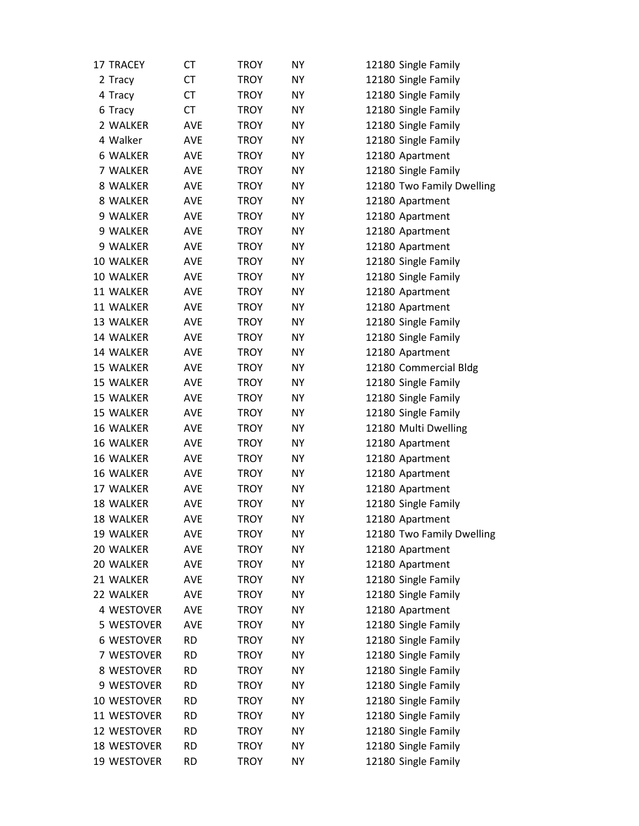| 17 TRACEY   | СT         | <b>TROY</b> | ΝY        | 12180 Single Family       |
|-------------|------------|-------------|-----------|---------------------------|
| 2 Tracy     | <b>CT</b>  | <b>TROY</b> | <b>NY</b> | 12180 Single Family       |
| 4 Tracy     | <b>CT</b>  | <b>TROY</b> | ΝY        | 12180 Single Family       |
| 6 Tracy     | <b>CT</b>  | <b>TROY</b> | NY        | 12180 Single Family       |
| 2 WALKER    | <b>AVE</b> | <b>TROY</b> | NY        | 12180 Single Family       |
| 4 Walker    | AVE        | <b>TROY</b> | <b>NY</b> | 12180 Single Family       |
| 6 WALKER    | <b>AVE</b> | <b>TROY</b> | <b>NY</b> | 12180 Apartment           |
| 7 WALKER    | <b>AVE</b> | <b>TROY</b> | <b>NY</b> | 12180 Single Family       |
| 8 WALKER    | <b>AVE</b> | <b>TROY</b> | <b>NY</b> | 12180 Two Family Dwelling |
| 8 WALKER    | AVE        | <b>TROY</b> | ΝY        | 12180 Apartment           |
| 9 WALKER    | AVE        | <b>TROY</b> | <b>NY</b> | 12180 Apartment           |
| 9 WALKER    | <b>AVE</b> | <b>TROY</b> | ΝY        | 12180 Apartment           |
| 9 WALKER    | <b>AVE</b> | <b>TROY</b> | <b>NY</b> | 12180 Apartment           |
| 10 WALKER   | <b>AVE</b> | <b>TROY</b> | NY        | 12180 Single Family       |
| 10 WALKER   | AVE        | <b>TROY</b> | ΝY        | 12180 Single Family       |
| 11 WALKER   | <b>AVE</b> | <b>TROY</b> | <b>NY</b> | 12180 Apartment           |
| 11 WALKER   | <b>AVE</b> | <b>TROY</b> | <b>NY</b> | 12180 Apartment           |
| 13 WALKER   | <b>AVE</b> | <b>TROY</b> | NΥ        | 12180 Single Family       |
| 14 WALKER   | <b>AVE</b> | <b>TROY</b> | <b>NY</b> | 12180 Single Family       |
| 14 WALKER   | <b>AVE</b> | <b>TROY</b> | <b>NY</b> | 12180 Apartment           |
| 15 WALKER   | AVE        | <b>TROY</b> | <b>NY</b> | 12180 Commercial Bldg     |
| 15 WALKER   | AVE        | <b>TROY</b> | ΝY        | 12180 Single Family       |
| 15 WALKER   | <b>AVE</b> | <b>TROY</b> | NY        | 12180 Single Family       |
| 15 WALKER   | AVE        | <b>TROY</b> | NΥ        | 12180 Single Family       |
| 16 WALKER   | AVE        | <b>TROY</b> | <b>NY</b> | 12180 Multi Dwelling      |
| 16 WALKER   | <b>AVE</b> | <b>TROY</b> | <b>NY</b> | 12180 Apartment           |
| 16 WALKER   | <b>AVE</b> | <b>TROY</b> | ΝY        | 12180 Apartment           |
| 16 WALKER   | <b>AVE</b> | <b>TROY</b> | <b>NY</b> | 12180 Apartment           |
| 17 WALKER   | AVE        | <b>TROY</b> | ΝY        | 12180 Apartment           |
| 18 WALKER   | AVE        | <b>TROY</b> | NΥ        | 12180 Single Family       |
| 18 WALKER   | <b>AVE</b> | <b>TROY</b> | NΥ        | 12180 Apartment           |
| 19 WALKER   | AVE        | <b>TROY</b> | NΥ        | 12180 Two Family Dwelling |
| 20 WALKER   | <b>AVE</b> | <b>TROY</b> | NY        | 12180 Apartment           |
| 20 WALKER   | <b>AVE</b> | <b>TROY</b> | NΥ        | 12180 Apartment           |
| 21 WALKER   | <b>AVE</b> | <b>TROY</b> | NY        | 12180 Single Family       |
| 22 WALKER   | AVE        | <b>TROY</b> | ΝY        | 12180 Single Family       |
| 4 WESTOVER  | <b>AVE</b> | <b>TROY</b> | NΥ        | 12180 Apartment           |
| 5 WESTOVER  | <b>AVE</b> | <b>TROY</b> | NΥ        | 12180 Single Family       |
| 6 WESTOVER  | <b>RD</b>  | <b>TROY</b> | NΥ        | 12180 Single Family       |
| 7 WESTOVER  | <b>RD</b>  | <b>TROY</b> | NY        | 12180 Single Family       |
| 8 WESTOVER  | <b>RD</b>  | <b>TROY</b> | ΝY        | 12180 Single Family       |
| 9 WESTOVER  | <b>RD</b>  | <b>TROY</b> | NY        | 12180 Single Family       |
| 10 WESTOVER | <b>RD</b>  | <b>TROY</b> | ΝY        | 12180 Single Family       |
| 11 WESTOVER | <b>RD</b>  | <b>TROY</b> | ΝY        | 12180 Single Family       |
| 12 WESTOVER | <b>RD</b>  | <b>TROY</b> | NΥ        | 12180 Single Family       |
| 18 WESTOVER | <b>RD</b>  | <b>TROY</b> | ΝY        | 12180 Single Family       |
| 19 WESTOVER | <b>RD</b>  | <b>TROY</b> | NΥ        | 12180 Single Family       |